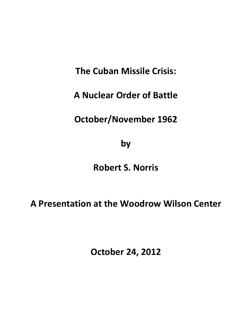**The Cuban Missile Crisis:**

**A Nuclear Order of Battle**

**October/November 1962**

**by** 

**Robert S. Norris**

**A Presentation at the Woodrow Wilson Center**

**October 24, 2012**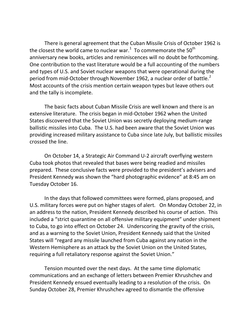There is general agreement that the Cuban Missile Crisis of October 1962 is the closest the world came to nuclear war.<sup>[1](#page-45-0)</sup> To commemorate the 50<sup>th</sup> anniversary new books, articles and reminiscences will no doubt be forthcoming. One contribution to the vast literature would be a full accounting of the numbers and types of U.S. and Soviet nuclear weapons that were operational during the period from mid-October through November 196[2](#page-45-1), a nuclear order of battle.<sup>2</sup> Most accounts of the crisis mention certain weapon types but leave others out and the tally is incomplete.

The basic facts about Cuban Missile Crisis are well known and there is an extensive literature. The crisis began in mid-October 1962 when the United States discovered that the Soviet Union was secretly deploying medium-range ballistic missiles into Cuba. The U.S. had been aware that the Soviet Union was providing increased military assistance to Cuba since late July, but ballistic missiles crossed the line.

On October 14, a Strategic Air Command U-2 aircraft overflying western Cuba took photos that revealed that bases were being readied and missiles prepared. These conclusive facts were provided to the president's advisers and President Kennedy was shown the "hard photographic evidence" at 8:45 am on Tuesday October 16.

In the days that followed committees were formed, plans proposed, and U.S. military forces were put on higher stages of alert. On Monday October 22, in an address to the nation, President Kennedy described his course of action. This included a "strict quarantine on all offensive military equipment" under shipment to Cuba, to go into effect on October 24. Underscoring the gravity of the crisis, and as a warning to the Soviet Union, President Kennedy said that the United States will "regard any missile launched from Cuba against any nation in the Western Hemisphere as an attack by the Soviet Union on the United States, requiring a full retaliatory response against the Soviet Union."

Tension mounted over the next days. At the same time diplomatic communications and an exchange of letters between Premier Khrushchev and President Kennedy ensued eventually leading to a resolution of the crisis. On Sunday October 28, Premier Khrushchev agreed to dismantle the offensive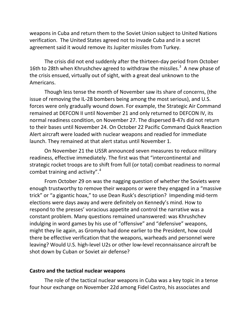weapons in Cuba and return them to the Soviet Union subject to United Nations verification. The United States agreed not to invade Cuba and in a secret agreement said it would remove its Jupiter missiles from Turkey.

The crisis did not end suddenly after the thirteen-day period from October 16th to 28th when Khrushchev agreed to withdraw the missiles.<sup>[3](#page-46-0)</sup> A new phase of the crisis ensued, virtually out of sight, with a great deal unknown to the Americans.

Though less tense the month of November saw its share of concerns, (the issue of removing the IL-28 bombers being among the most serious), and U.S. forces were only gradually wound down. For example, the Strategic Air Command remained at DEFCON II until November 21 and only returned to DEFCON IV, its normal readiness condition, on November 27. The dispersed B-47s did not return to their bases until November 24. On October 22 Pacific Command Quick Reaction Alert aircraft were loaded with nuclear weapons and readied for immediate launch. They remained at that alert status until November 1.

On November 21 the USSR announced seven measures to reduce military readiness, effective immediately. The first was that "intercontinental and strategic rocket troops are to shift from full (or total) combat readiness to normal combat training and activity".<sup>[4](#page-46-1)</sup>

From October 29 on was the nagging question of whether the Soviets were enough trustworthy to remove their weapons or were they engaged in a "massive trick" or "a gigantic hoax," to use Dean Rusk's description? Impending mid-term elections were days away and were definitely on Kennedy's mind. How to respond to the presses' voracious appetite and control the narrative was a constant problem. Many questions remained unanswered: was Khrushchev indulging in word games by his use of "offensive" and "defensive" weapons, might they lie again, as Gromyko had done earlier to the President, how could there be effective verification that the weapons, warheads and personnel were leaving? Would U.S. high-level U2s or other low-level reconnaissance aircraft be shot down by Cuban or Soviet air defense?

#### **Castro and the tactical nuclear weapons**

The role of the tactical nuclear weapons in Cuba was a key topic in a tense four hour exchange on November 22d among Fidel Castro, his associates and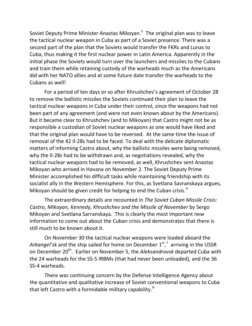Soviet Deputy Prime Minister Anastas Mikoyan.<sup>[5](#page-47-0)</sup> The original plan was to leave the tactical nuclear weapon in Cuba as part of a Soviet presence. There was a second part of the plan that the Soviets would transfer the FKRs and Lunas to Cuba, thus making it the first nuclear power in Latin America. Apparently in the initial phase the Soviets would turn over the launchers and missiles to the Cubans and train them while retaining custody of the warheads much as the Americans did with her NATO allies and at some future date transfer the warheads to the Cubans as well!

For a period of ten days or so after Khrushchev's agreement of October 28 to remove the ballistic missiles the Soviets continued their plan to leave the tactical nuclear weapons in Cuba under their control, since the weapons had not been part of any agreement (and were not even known about by the Americans). But it became clear to Khrushchev (and to Mikoyan) that Castro might not be as responsible a custodian of Soviet nuclear weapons as one would have liked and that the original plan would have to be reversed. At the same time the issue of removal of the 42 Il-28s had to be faced. To deal with the delicate diplomatic matters of informing Castro about, why the ballistic missiles were being removed, why the Il-28s had to be withdrawn and, as negotiations revealed, why the tactical nuclear weapons had to be removed, as well, Khrushchev sent Anastas Mikoyan who arrived in Havana on November 2. The Soviet Deputy Prime Minister accomplished his difficult tasks while maintaining friendship with its socialist ally in the Western Hemisphere. For this, as Svetlana Savranskaya argues, Mikoyan should be given credit for helping to end the Cuban crisis.<sup>[6](#page-47-1)</sup>

The extraordinary details are recounted in *The Soviet Cuban Missile Crisis: Castro, Mikoyan, Kennedy, Khrushchev and the Missile of November* by Sergo Mikoyan and Svetlana Sarranskaya. This is clearly the most important new information to come out about the Cuban crisis and demonstrates that there is still much to be known about it.

On November 30 the tactical nuclear weapons were loaded aboard the Arkangel'sk and the ship sailed for home on December 1<sup>st</sup>,<sup>[7](#page-47-2)</sup> arriving in the USSR on December 20<sup>th</sup>. Earlier on November 5, the *Aleksandrovsk* departed Cuba with the 24 warheads for the SS-5 IRBMs (that had never been unloaded), and the 36 SS-4 warheads.

There was continuing concern by the Defense Intelligence Agency about the quantitative and qualitative increase of Soviet conventional weapons to Cuba that left Castro with a formidable military capability.<sup>[8](#page-47-3)</sup>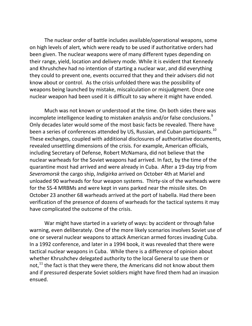The nuclear order of battle includes available/operational weapons, some on high levels of alert, which were ready to be used if authoritative orders had been given. The nuclear weapons were of many different types depending on their range, yield, location and delivery mode. While it is evident that Kennedy and Khrushchev had no intention of starting a nuclear war, and did everything they could to prevent one, events occurred that they and their advisers did not know about or control. As the crisis unfolded there was the possibility of weapons being launched by mistake, miscalculation or misjudgment. Once one nuclear weapon had been used it is difficult to say where it might have ended.

Much was not known or understood at the time. On both sides there was incomplete intelligence leading to mistaken analysis and/or false conclusions.<sup>[9](#page-48-0)</sup> Only decades later would some of the most basic facts be revealed. There have been a series of conferences attended by US, Russian, and Cuban participants.<sup>[10](#page-48-1)</sup> These exchanges, coupled with additional disclosures of authoritative documents, revealed unsettling dimensions of the crisis. For example, American officials, including Secretary of Defense, Robert McNamara, did not believe that the nuclear warheads for the Soviet weapons had arrived. In fact, by the time of the quarantine most had arrived and were already in Cuba. After a 19-day trip from *Severomorsk* the cargo ship, *Indigirka* arrived on October 4th at Mariel and unloaded 90 warheads for four weapon systems. Thirty-six of the warheads were for the SS-4 MRBMs and were kept in vans parked near the missile sites. On October 23 another 68 warheads arrived at the port of Isabella. Had there been verification of the presence of dozens of warheads for the tactical systems it may have complicated the outcome of the crisis.

War might have started in a variety of ways: by accident or through false warning, even deliberately. One of the more likely scenarios involves Soviet use of one or several nuclear weapons to attack American armed forces invading Cuba. In a 1992 conference, and later in a 1994 book, it was revealed that there were tactical nuclear weapons in Cuba. While there is a difference of opinion about whether Khrushchev delegated authority to the local General to use them or not, $^{11}$  $^{11}$  $^{11}$  the fact is that they were there, the Americans did not know about them and if pressured desperate Soviet soldiers might have fired them had an invasion ensued.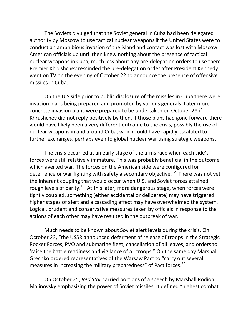The Soviets divulged that the Soviet general in Cuba had been delegated authority by Moscow to use tactical nuclear weapons if the United States were to conduct an amphibious invasion of the island and contact was lost with Moscow. American officials up until then knew nothing about the presence of tactical nuclear weapons in Cuba, much less about any pre-delegation orders to use them. Premier Khrushchev rescinded the pre-delegation order after President Kennedy went on TV on the evening of October 22 to announce the presence of offensive missiles in Cuba.

On the U.S side prior to public disclosure of the missiles in Cuba there were invasion plans being prepared and promoted by various generals. Later more concrete invasion plans were prepared to be undertaken on October 28 if Khrushchev did not reply positively by then. If those plans had gone forward there would have likely been a very different outcome to the crisis, possibly the use of nuclear weapons in and around Cuba, which could have rapidly escalated to further exchanges, perhaps even to global nuclear war using strategic weapons.

The crisis occurred at an early stage of the arms race when each side's forces were still relatively immature. This was probably beneficial in the outcome which averted war. The forces on the American side were configured for deterrence or war fighting with safety a secondary objective.<sup>12</sup> There was not yet the inherent coupling that would occur when U.S. and Soviet forces attained rough levels of parity.<sup>[13](#page-49-1)</sup> At this later, more dangerous stage, when forces were tightly coupled, something (either accidental or deliberate) may have triggered higher stages of alert and a cascading effect may have overwhelmed the system. Logical, prudent and conservative measures taken by officials in response to the actions of each other may have resulted in the outbreak of war.

Much needs to be known about Soviet alert levels during the crisis. On October 23, "the USSR announced deferment of release of troops in the Strategic Rocket Forces, PVO and submarine fleet, cancellation of all leaves, and orders to 'raise the battle readiness and vigilance of all troops." On the same day Marshall Grechko ordered representatives of the Warsaw Pact to "carry out several measures in increasing the military preparedness" of Pact forces.<sup>[14](#page-49-2)</sup>

On October 25, *Red Star* carried portions of a speech by Marshall Rodion Malinovsky emphasizing the power of Soviet missiles. It defined "highest combat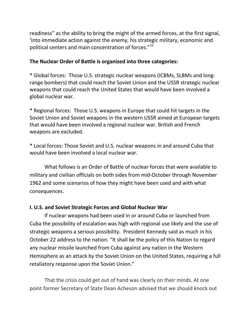readiness" as the ability to bring the might of the armed forces, at the first signal, 'into immediate action against the enemy, his strategic military, economic and political centers and main concentration of forces."[15](#page-50-0)

## **The Nuclear Order of Battle is organized into three categories:**

\* Global forces: Those U.S. strategic nuclear weapons (ICBMs, SLBMs and longrange bombers) that could reach the Soviet Union and the USSR strategic nuclear weapons that could reach the United States that would have been involved a global nuclear war.

\* Regional forces: Those U.S. weapons in Europe that could hit targets in the Soviet Union and Soviet weapons in the western USSR aimed at European targets that would have been involved a regional nuclear war. British and French weapons are excluded.

\* Local forces: Those Soviet and U.S. nuclear weapons in and around Cuba that would have been involved a local nuclear war.

What follows is an Order of Battle of nuclear forces that were available to military and civilian officials on both sides from mid-October through November 1962 and some scenarios of how they might have been used and with what consequences.

# **I. U.S. and Soviet Strategic Forces and Global Nuclear War**

If nuclear weapons had been used in or around Cuba or launched from Cuba the possibility of escalation was high with regional use likely and the use of strategic weapons a serious possibility. President Kennedy said as much in his October 22 address to the nation. "It shall be the policy of this Nation to regard any nuclear missile launched from Cuba against any nation in the Western Hemisphere as an attack by the Soviet Union on the United States, requiring a full retaliatory response upon the Soviet Union."

That the crisis could get out of hand was clearly on their minds. At one point former Secretary of State Dean Acheson advised that we should knock out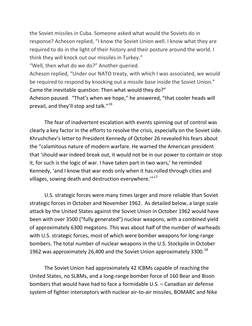the Soviet missiles in Cuba. Someone asked what would the Soviets do in response? Acheson replied, "I know the Soviet Union well. I know what they are required to do in the light of their history and their posture around the world. I think they will knock out our missiles in Turkey."

"Well, then what do we do?" Another queried.

Acheson replied, "Under our NATO treaty, with which I was associated, we would be required to respond by knocking out a missile base inside the Soviet Union." Came the inevitable question: Then what would they do?"

Acheson paused. "That's when we hope," he answered, "that cooler heads will prevail, and they'll stop and talk."<sup>[16](#page-50-1)</sup>

The fear of inadvertent escalation with events spinning out of control was clearly a key factor in the efforts to resolve the crisis, especially on the Soviet side. Khrushchev's letter to President Kennedy of October 26 revealed his fears about the "calamitous nature of modern warfare. He warned the American president that 'should war indeed break out, it would not be in our power to contain or stop it, for such is the logic of war. I have taken part in two wars,' he reminded Kennedy, 'and I know that war ends only when it has rolled through cities and villages, sowing death and destruction everywhere."<sup>[17](#page-50-2)</sup>

U.S. strategic forces were many times larger and more reliable than Soviet strategic forces in October and November 1962. As detailed below, a large scale attack by the United States against the Soviet Union in October 1962 would have been with over 3500 ("fully generated") nuclear weapons, with a combined yield of approximately 6300 megatons. This was about half of the number of warheads with U.S. strategic forces, most of which were bomber weapons for long-range bombers. The total number of nuclear weapons in the U.S. Stockpile in October 1962 was approximately 26,400 and the Soviet Union approximately 3300.<sup>[18](#page-50-3)</sup>

The Soviet Union had approximately 42 ICBMs capable of reaching the United States, no SLBMs, and a long-range bomber force of 160 Bear and Bison bombers that would have had to face a formidable U.S. – Canadian air defense system of fighter interceptors with nuclear air-to-air missiles, BOMARC and Nike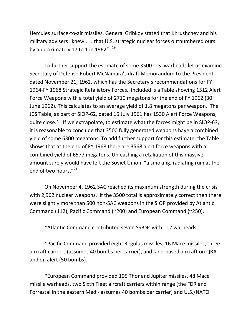Hercules surface-to-air missiles. General Gribkov stated that Khrushchev and his military advisers "knew . . . that U.S. strategic nuclear forces outnumbered ours by approximately 17 to 1 in [19](#page-51-0)62".  $^{19}$ 

To further support the estimate of some 3500 U.S. warheads let us examine Secretary of Defense Robert McNamara's draft Memorandum to the President, dated November 21, 1962, which has the Secretary's recommendations for FY 1964-FY 1968 Strategic Retaliatory Forces. Included is a Table showing 1512 Alert Force Weapons with a total yield of 2710 megatons for the end of FY 1962 (30 June 1962). This calculates to an average yield of 1.8 megatons per weapon. The JCS Table, as part of SIOP-62, dated 15 July 1961 has 1530 Alert Force Weapons, quite close.<sup>20</sup> If we extrapolate, to estimate what the forces might be in SIOP-63, it is reasonable to conclude that 3500 fully generated weapons have a combined yield of some 6300 megatons. To add further support for this estimate, the Table shows that at the end of FY 1968 there are 3568 alert force weapons with a combined yield of 6577 megatons. Unleashing a retaliation of this massive amount surely would have left the Soviet Union, "a smoking, radiating ruin at the end of two hours."<sup>[21](#page-51-2)</sup>

On November 4, 1962 SAC reached its maximum strength during the crisis with 2,962 nuclear weapons. If the 3500 total is approximately correct then there were slightly more than 500 non-SAC weapons in the SIOP provided by Atlantic Command (112), Pacific Command (~200) and European Command (~250).

\*Atlantic Command contributed seven SSBNs with 112 warheads.

\*Pacific Command provided eight Regulus missiles, 16 Mace missiles, three aircraft carriers (assumes 40 bombs per carrier), and land-based aircraft on QRA and on alert (50 bombs).

\*European Command provided 105 Thor and Jupiter missiles, 48 Mace missile warheads, two Sixth Fleet aircraft carriers within range (the FDR and Forrestal in the eastern Med - assumes 40 bombs per carrier) and U.S./NATO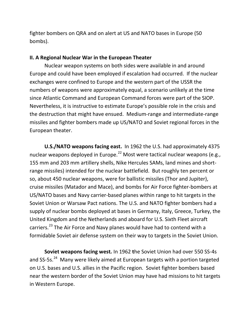fighter bombers on QRA and on alert at US and NATO bases in Europe (50 bombs).

#### **II. A Regional Nuclear War in the European Theater**

Nuclear weapon systems on both sides were available in and around Europe and could have been employed if escalation had occurred. If the nuclear exchanges were confined to Europe and the western part of the USSR the numbers of weapons were approximately equal, a scenario unlikely at the time since Atlantic Command and European Command forces were part of the SIOP. Nevertheless, it is instructive to estimate Europe's possible role in the crisis and the destruction that might have ensued. Medium-range and intermediate-range missiles and fighter bombers made up US/NATO and Soviet regional forces in the European theater.

**U.S./NATO weapons facing east.** In 1962 the U.S. had approximately 4375 nuclear weapons deployed in Europe.<sup>[22](#page-52-0)</sup> Most were tactical nuclear weapons (e.g., 155 mm and 203 mm artillery shells, Nike Hercules SAMs, land mines and shortrange missiles) intended for the nuclear battlefield. But roughly ten percent or so, about 450 nuclear weapons, were for ballistic missiles (Thor and Jupiter), cruise missiles (Matador and Mace), and bombs for Air Force fighter-bombers at US/NATO bases and Navy carrier-based planes within range to hit targets in the Soviet Union or Warsaw Pact nations. The U.S. and NATO fighter bombers had a supply of nuclear bombs deployed at bases in Germany, Italy, Greece, Turkey, the United Kingdom and the Netherlands and aboard for U.S. Sixth Fleet aircraft carriers.<sup>[23](#page-52-1)</sup> The Air Force and Navy planes would have had to contend with a formidable Soviet air defense system on their way to targets in the Soviet Union.

**Soviet weapons facing west***.* In 1962 **t**he Soviet Union had over 550 SS-4s and SS-5s.<sup>[24](#page-52-2)</sup> Many were likely aimed at European targets with a portion targeted on U.S. bases and U.S. allies in the Pacific region. Soviet fighter bombers based near the western border of the Soviet Union may have had missions to hit targets in Western Europe.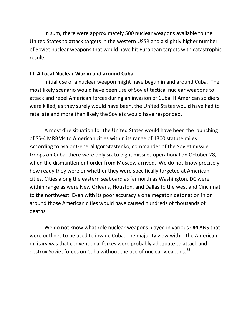In sum, there were approximately 500 nuclear weapons available to the United States to attack targets in the western USSR and a slightly higher number of Soviet nuclear weapons that would have hit European targets with catastrophic results.

#### **III. A Local Nuclear War in and around Cuba**

Initial use of a nuclear weapon might have begun in and around Cuba. The most likely scenario would have been use of Soviet tactical nuclear weapons to attack and repel American forces during an invasion of Cuba. If American soldiers were killed, as they surely would have been, the United States would have had to retaliate and more than likely the Soviets would have responded.

A most dire situation for the United States would have been the launching of SS-4 MRBMs to American cities within its range of 1300 statute miles. According to Major General Igor Stastenko, commander of the Soviet missile troops on Cuba, there were only six to eight missiles operational on October 28, when the dismantlement order from Moscow arrived. We do not know precisely how ready they were or whether they were specifically targeted at American cities. Cities along the eastern seaboard as far north as Washington, DC were within range as were New Orleans, Houston, and Dallas to the west and Cincinnati to the northwest. Even with its poor accuracy a one megaton detonation in or around those American cities would have caused hundreds of thousands of deaths.

We do not know what role nuclear weapons played in various OPLANS that were outlines to be used to invade Cuba. The majority view within the American military was that conventional forces were probably adequate to attack and destroy Soviet forces on Cuba without the use of nuclear weapons.<sup>[25](#page-53-0)</sup>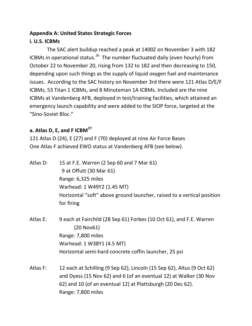# **Appendix A: United States Strategic Forces i. U.S. ICBMs**

The SAC alert buildup reached a peak at 1400Z on November 3 with 182 ICBMs in operational status.<sup>[26](#page-54-0)</sup> The number fluctuated daily (even hourly) from October 22 to November 20, rising from 132 to 182 and then decreasing to 150, depending upon such things as the supply of liquid oxygen fuel and maintenance issues. According to the SAC history on November 3rd there were 121 Atlas D/E/F ICBMs, 53 Titan 1 ICBMs, and 8 Minuteman 1A ICBMs. Included are the nine ICBMs at Vandenberg AFB, deployed in test/training facilities, which attained an emergency launch capability and were added to the SIOP force, targeted at the "Sino-Soviet Bloc."

# **a. Atlas D, E, and F ICBM[27](#page-54-1)**

121 Atlas D (24), E (27) and F (70) deployed at nine Air Force Bases One Atlas F achieved EWO status at Vandenberg AFB (see below).

Atlas D: 15 at F.E. Warren (2 Sep 60 and 7 Mar 61) 9 at Offutt (30 Mar 61) Range: 6,325 miles Warhead: 1 W49Y2 (1.45 MT) Horizontal "soft" above ground launcher, raised to a vertical position for firing

- Atlas E: 9 each at Fairchild (28 Sep 61) Forbes (10 Oct 61), and F.E. Warren (20 Nov61) Range: 7,800 miles Warhead: 1 W38Y1 (4.5 MT) Horizontal semi-hard concrete coffin launcher, 25 psi
- Atlas F: 12 each at Schilling (9 Sep 62), Lincoln (15 Sep 62), Altus (9 Oct 62) and Dyess (15 Nov 62) and 6 (of an eventual 12) at Walker (30 Nov 62) and 10 (of an eventual 12) at Plattsburgh (20 Dec 62). Range: 7,800 miles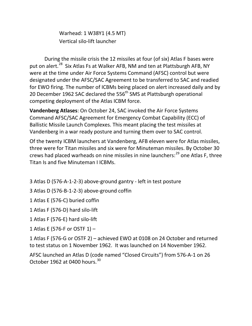Warhead: 1 W38Y1 (4.5 MT) Vertical silo-lift launcher

During the missile crisis the 12 missiles at four (of six) Atlas F bases were put on alert.<sup>[28](#page-55-0)</sup> Six Atlas Fs at Walker AFB, NM and ten at Plattsburgh AFB, NY were at the time under Air Force Systems Command (AFSC) control but were designated under the AFSC/SAC Agreement to be transferred to SAC and readied for EWO firing. The number of ICBMs being placed on alert increased daily and by 20 December 1962 SAC declared the 556<sup>th</sup> SMS at Plattsburgh operational competing deployment of the Atlas ICBM force.

**Vandenberg Atlases**: On October 24, SAC invoked the Air Force Systems Command AFSC/SAC Agreement for Emergency Combat Capability (ECC) of Ballistic Missile Launch Complexes. This meant placing the test missiles at Vandenberg in a war ready posture and turning them over to SAC control.

Of the twenty ICBM launchers at Vandenberg, AFB eleven were for Atlas missiles, three were for Titan missiles and six were for Minuteman missiles. By October 30 crews had placed warheads on nine missiles in nine launchers:<sup>[29](#page-55-1)</sup> one Atlas F, three Titan Is and five Minuteman I ICBMs.

- 3 Atlas D (576-A-1-2-3) above-ground gantry left in test posture
- 3 Atlas D (576-B-1-2-3) above-ground coffin
- 1 Atlas E (576-C) buried coffin
- 1 Atlas F (576-D) hard silo-lift
- 1 Atlas F (576-E) hard silo-lift
- 1 Atlas E (576-F or OSTF 1) –

1 Atlas F (576-G or OSTF 2) – achieved EWO at 0108 on 24 October and returned to test status on 1 November 1962. It was launched on 14 November 1962.

AFSC launched an Atlas D (code named "Closed Circuits") from 576-A-1 on 26 October 1962 at 0400 hours.<sup>[30](#page-55-2)</sup>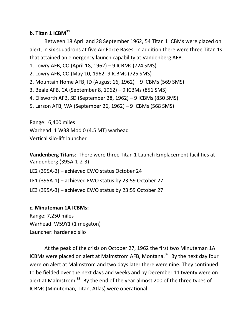# **b. Titan 1 ICBM[31](#page-55-3)**

Between 18 April and 28 September 1962, 54 Titan 1 ICBMs were placed on alert, in six squadrons at five Air Force Bases. In addition there were three Titan 1s that attained an emergency launch capability at Vandenberg AFB.

1. Lowry AFB, CO (April 18, 1962) – 9 ICBMs (724 SMS)

2. Lowry AFB, CO (May 10, 1962- 9 ICBMs (725 SMS)

2. Mountain Home AFB, ID (August 16, 1962) – 9 ICBMs (569 SMS)

3. Beale AFB, CA (September 8, 1962) – 9 ICBMs (851 SMS)

4. Ellsworth AFB, SD (September 28, 1962) – 9 ICBMs (850 SMS)

5. Larson AFB, WA (September 26, 1962) – 9 ICBMs (568 SMS)

Range: 6,400 miles Warhead: 1 W38 Mod 0 (4.5 MT) warhead Vertical silo-lift launcher

**Vandenberg Titans**: There were three Titan 1 Launch Emplacement facilities at Vandenberg (395A-1-2-3)

LE2 (395A-2) – achieved EWO status October 24

LE1 (395A-1) – achieved EWO status by 23:59 October 27

LE3 (395A-3) – achieved EWO status by 23:59 October 27

### **c. Minuteman 1A ICBMs:**

Range: 7,250 miles Warhead: W59Y1 (1 megaton) Launcher: hardened silo

At the peak of the crisis on October 27, 1962 the first two Minuteman 1A ICBMs were placed on alert at Malmstrom AFB, Montana.<sup>[32](#page-55-4)</sup> By the next day four were on alert at Malmstrom and two days later there were nine. They continued to be fielded over the next days and weeks and by December 11 twenty were on alert at Malmstrom.<sup>[33](#page-55-5)</sup> By the end of the year almost 200 of the three types of ICBMs (Minuteman, Titan, Atlas) were operational.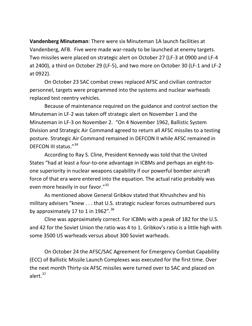**Vandenberg Minuteman**: There were six Minuteman 1A launch facilities at Vandenberg, AFB. Five were made war-ready to be launched at enemy targets. Two missiles were placed on strategic alert on October 27 (LF-3 at 0900 and LF-4 at 2400), a third on October 29 (LF-5), and two more on October 30 (LF-1 and LF-2 at 0922).

On October 23 SAC combat crews replaced AFSC and civilian contractor personnel, targets were programmed into the systems and nuclear warheads replaced test reentry vehicles.

Because of maintenance required on the guidance and control section the Minuteman in LF-2 was taken off strategic alert on November 1 and the Minuteman in LF-3 on November 2. "On 4 November 1962, Ballistic System Division and Strategic Air Command agreed to return all AFSC missiles to a testing posture. Strategic Air Command remained in DEFCON II while AFSC remained in DEFCON III status."[34](#page-55-6)

According to Ray S. Cline, President Kennedy was told that the United States "had at least a four-to-one advantage in ICBMs and perhaps an eight-toone superiority in nuclear weapons capability if our powerful bomber aircraft force of that era were entered into the equation. The actual ratio probably was even more heavily in our favor."<sup>[35](#page-55-7)</sup>

As mentioned above General Gribkov stated that Khrushchev and his military advisers "knew . . . that U.S. strategic nuclear forces outnumbered ours by approximately 17 to 1 in 1962". $36$ 

Cline was approximately correct. For ICBMs with a peak of 182 for the U.S. and 42 for the Soviet Union the ratio was 4 to 1. Gribkov's ratio is a little high with some 3500 US warheads versus about 300 Soviet warheads.

On October 24 the AFSC/SAC Agreement for Emergency Combat Capability (ECC) of Ballistic Missile Launch Complexes was executed for the first time. Over the next month Thirty-six AFSC missiles were turned over to SAC and placed on alert. $37$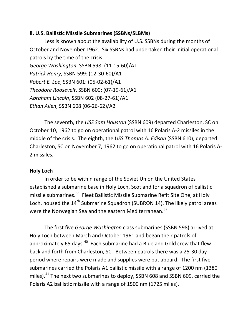#### **ii. U.S. Ballistic Missile Submarines (SSBNs/SLBMs)**

Less is known about the availability of U.S. SSBNs during the months of October and November 1962. Six SSBNs had undertaken their initial operational patrols by the time of the crisis: *George Washington*, SSBN 598: (11-15-60)/A1 *Patrick Henry*, SSBN 599: (12-30-60)/A1 *Robert E. Lee*, SSBN 601: (05-02-61)/A1 *Theodore Roosevelt*, SSBN 600: (07-19-61)/A1 *Abraham Lincoln*, SSBN 602 (08-27-61)/A1 *Ethan Allen*, SSBN 608 (06-26-62)/A2

The seventh, the *USS Sam Houston* (SSBN 609) departed Charleston, SC on October 10, 1962 to go on operational patrol with 16 Polaris A-2 missiles in the middle of the crisis. The eighth, the *USS Thomas A. Edison* (SSBN 610), departed Charleston, SC on November 7, 1962 to go on operational patrol with 16 Polaris A-2 missiles.

### **Holy Loch**

In order to be within range of the Soviet Union the United States established a submarine base in Holy Loch, Scotland for a squadron of ballistic missile submarines.<sup>[38](#page-55-10)</sup> Fleet Ballistic Missile Submarine Refit Site One, at Holy Loch, housed the 14<sup>th</sup> Submarine Squadron (SUBRON 14). The likely patrol areas were the Norwegian Sea and the eastern Mediterranean.<sup>[39](#page-55-11)</sup>

The first five *George Washington* class submarines (SSBN 598) arrived at Holy Loch between March and October 1961 and began their patrols of approximately 65 days.<sup>40</sup> Each submarine had a Blue and Gold crew that flew back and forth from Charleston, SC. Between patrols there was a 25-30 day period where repairs were made and supplies were put aboard. The first five submarines carried the Polaris A1 ballistic missile with a range of 1200 nm (1380 miles).<sup>[41](#page-55-13)</sup> The next two submarines to deploy, SSBN 608 and SSBN 609, carried the Polaris A2 ballistic missile with a range of 1500 nm (1725 miles).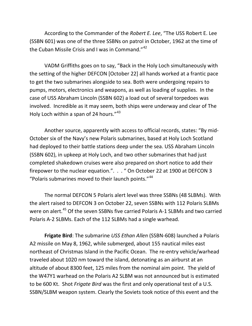According to the Commander of the *Robert E. Lee*, "The USS Robert E. Lee (SSBN 601) was one of the three SSBNs on patrol in October, 1962 at the time of the Cuban Missile Crisis and I was in Command."<sup>[42](#page-55-14)</sup>

VADM Griffiths goes on to say, "Back in the Holy Loch simultaneously with the setting of the higher DEFCON [October 22] all hands worked at a frantic pace to get the two submarines alongside to sea. Both were undergoing repairs to pumps, motors, electronics and weapons, as well as loading of supplies. In the case of USS Abraham Lincoln (SSBN 602) a load out of several torpedoes was involved. Incredible as it may seem, both ships were underway and clear of The Holy Loch within a span of 24 hours."<sup>[43](#page-55-15)</sup>

Another source, apparently with access to official records, states: "By mid-October six of the Navy's new Polaris submarines, based at Holy Loch Scotland had deployed to their battle stations deep under the sea. USS Abraham Lincoln (SSBN 602), in upkeep at Holy Loch, and two other submarines that had just completed shakedown cruises were also prepared on short notice to add their firepower to the nuclear equation.". . . " On October 22 at 1900 at DEFCON 3 "Polaris submarines moved to their launch points."[44](#page-55-16)

The normal DEFCON 5 Polaris alert level was three SSBNs (48 SLBMs). With the alert raised to DEFCON 3 on October 22, seven SSBNs with 112 Polaris SLBMs were on alert.<sup>[45](#page-55-17)</sup> Of the seven SSBNs five carried Polaris A-1 SLBMs and two carried Polaris A-2 SLBMs. Each of the 112 SLBMs had a single warhead.

**Frigate Bird**: The submarine *USS Ethan Allen* (SSBN-608) launched a Polaris A2 missile on May 8, 1962, while submerged, about 155 nautical miles east northeast of Christmas Island in the Pacific Ocean. The re-entry vehicle/warhead traveled about 1020 nm toward the island, detonating as an airburst at an altitude of about 8300 feet, 125 miles from the nominal aim point. The yield of the W47Y1 warhead on the Polaris A2 SLBM was not announced but is estimated to be 600 Kt. Shot *Frigate Bird* was the first and only operational test of a U.S. SSBN/SLBM weapon system. Clearly the Soviets took notice of this event and the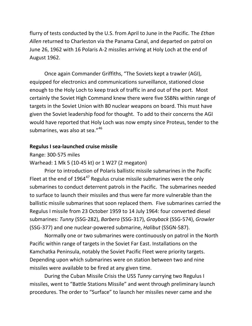flurry of tests conducted by the U.S. from April to June in the Pacific. The *Ethan Allen* returned to Charleston via the Panama Canal, and departed on patrol on June 26, 1962 with 16 Polaris A-2 missiles arriving at Holy Loch at the end of August 1962.

Once again Commander Griffiths, "The Soviets kept a trawler (AGI), equipped for electronics and communications surveillance, stationed close enough to the Holy Loch to keep track of traffic in and out of the port. Most certainly the Soviet High Command knew there were five SSBNs within range of targets in the Soviet Union with 80 nuclear weapons on board. This must have given the Soviet leadership food for thought. To add to their concerns the AGI would have reported that Holy Loch was now empty since Proteus, tender to the submarines, was also at sea."<sup>[46](#page-55-18)</sup>

#### **Regulus I sea-launched cruise missile**

Range: 300-575 miles

Warhead: 1 Mk 5 (10-45 kt) or 1 W27 (2 megaton)

Prior to introduction of Polaris ballistic missile submarines in the Pacific Fleet at the end of  $1964^{47}$  $1964^{47}$  $1964^{47}$  Regulus cruise missile submarines were the only submarines to conduct deterrent patrols in the Pacific. The submarines needed to surface to launch their missiles and thus were far more vulnerable than the ballistic missile submarines that soon replaced them. Five submarines carried the Regulus I missile from 23 October 1959 to 14 July 1964: four converted diesel submarines: *Tunny* (SSG-282), *Barbero* (SSG-317), *Grayback* (SSG-574), *Growler* (SSG-377) and one nuclear-powered submarine, *Halibut* (SSGN-587).

Normally one or two submarines were continuously on patrol in the North Pacific within range of targets in the Soviet Far East. Installations on the Kamchatka Peninsula, notably the Soviet Pacific Fleet were priority targets. Depending upon which submarines were on station between two and nine missiles were available to be fired at any given time.

During the Cuban Missile Crisis the USS *Tunny* carrying two Regulus I missiles, went to "Battle Stations Missile" and went through preliminary launch procedures. The order to "Surface" to launch her missiles never came and she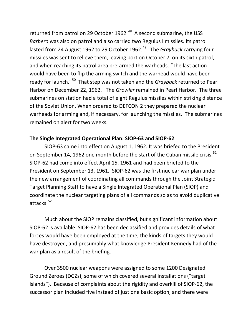returned from patrol on 29 October 1962.<sup>[48](#page-55-20)</sup> A second submarine, the USS *Barbero* was also on patrol and also carried two Regulus I missiles. Its patrol lasted from 24 August 1962 to 29 October 1962.<sup>[49](#page-55-21)</sup> The *Grayback* carrying four missiles was sent to relieve them, leaving port on October 7, on its sixth patrol, and when reaching its patrol area pre-armed the warheads. "The last action would have been to flip the arming switch and the warhead would have been ready for launch."[50](#page-55-22) That step was not taken and the *Grayback* returned to Pearl Harbor on December 22, 1962. The *Growler* remained in Pearl Harbor. The three submarines on station had a total of eight Regulus missiles within striking distance of the Soviet Union. When ordered to DEFCON 2 they prepared the nuclear warheads for arming and, if necessary, for launching the missiles. The submarines remained on alert for two weeks.

### **The Single Integrated Operational Plan: SIOP-63 and SIOP-62**

SIOP-63 came into effect on August 1, 1962. It was briefed to the President on September 14, 1962 one month before the start of the Cuban missile crisis.<sup>[51](#page-55-23)</sup> SIOP-62 had come into effect April 15, 1961 and had been briefed to the President on September 13, 1961. SIOP-62 was the first nuclear war plan under the new arrangement of coordinating all commands through the Joint Strategic Target Planning Staff to have a Single Integrated Operational Plan (SIOP) and coordinate the nuclear targeting plans of all commands so as to avoid duplicative attacks. [52](#page-55-24)

Much about the SIOP remains classified, but significant information about SIOP-62 is available. SIOP-62 has been declassified and provides details of what forces would have been employed at the time, the kinds of targets they would have destroyed, and presumably what knowledge President Kennedy had of the war plan as a result of the briefing.

Over 3500 nuclear weapons were assigned to some 1200 Designated Ground Zeroes (DGZs), some of which covered several installations ("target islands"). Because of complaints about the rigidity and overkill of SIOP-62, the successor plan included five instead of just one basic option, and there were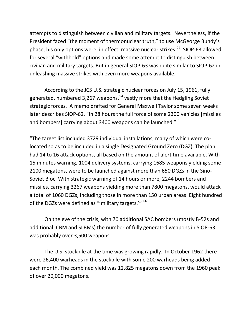attempts to distinguish between civilian and military targets. Nevertheless, if the President faced "the moment of thermonuclear truth," to use McGeorge Bundy's phase, his only options were, in effect, massive nuclear strikes. [53](#page-55-25) SIOP-63 allowed for several "withhold" options and made some attempt to distinguish between civilian and military targets. But in general SIOP-63 was quite similar to SIOP-62 in unleashing massive strikes with even more weapons available.

According to the JCS U.S. strategic nuclear forces on July 15, 1961, fully generated, numbered 3,267 weapons,<sup>[54](#page-55-26)</sup> vastly more that the fledgling Soviet strategic forces. A memo drafted for General Maxwell Taylor some seven weeks later describes SIOP-62. "In 28 hours the full force of some 2300 vehicles [missiles and bombers] carrying about 3400 weapons can be launched."<sup>[55](#page-55-27)</sup>

"The target list included 3729 individual installations, many of which were colocated so as to be included in a single Designated Ground Zero (DGZ). The plan had 14 to 16 attack options, all based on the amount of alert time available. With 15 minutes warning, 1004 delivery systems, carrying 1685 weapons yielding some 2100 megatons, were to be launched against more than 650 DGZs in the Sino-Soviet Bloc. With strategic warning of 14 hours or more, 2244 bombers and missiles, carrying 3267 weapons yielding more than 7800 megatons, would attack a total of 1060 DGZs, including those in more than 150 urban areas. Eight hundred of the DGZs were defined as "'military targets." <sup>[56](#page-55-16)</sup>

On the eve of the crisis, with 70 additional SAC bombers (mostly B-52s and additional ICBM and SLBMs) the number of fully generated weapons in SIOP-63 was probably over 3,500 weapons.

The U.S. stockpile at the time was growing rapidly. In October 1962 there were 26,400 warheads in the stockpile with some 200 warheads being added each month. The combined yield was 12,825 megatons down from the 1960 peak of over 20,000 megatons.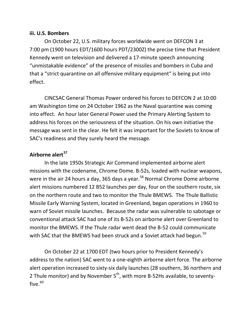#### **iii. U.S. Bombers**

On October 22, U.S. military forces worldwide went on DEFCON 3 at 7:00 pm (1900 hours EDT/1600 hours PDT/2300Z) the precise time that President Kennedy went on television and delivered a 17-minute speech announcing "unmistakable evidence" of the presence of missiles and bombers in Cuba and that a "strict quarantine on all offensive military equipment" is being put into effect.

CINCSAC General Thomas Power ordered his forces to DEFCON 2 at 10:00 am Washington time on 24 October 1962 as the Naval quarantine was coming into effect. An hour later General Power used the Primary Alerting System to address his forces on the seriousness of the situation. On his own initiative the message was sent in the clear. He felt it was important for the Soviets to know of SAC's readiness and they surely heard the message.

## **Airborne alert[57](#page-55-28)**

In the late 1950s Strategic Air Command implemented airborne alert missions with the codename, Chrome Dome. B-52s, loaded with nuclear weapons, were in the air 24 hours a day, 365 days a year.<sup>[58](#page-55-29)</sup> Normal Chrome Dome airborne alert missions numbered 12 B52 launches per day, four on the southern route, six on the northern route and two to monitor the Thule BMEWS. The Thule Ballistic Missile Early Warning System, located in Greenland, began operations in 1960 to warn of Soviet missile launches. Because the radar was vulnerable to sabotage or conventional attack SAC had one of its B-52s on airborne alert over Greenland to monitor the BMEWS. If the Thule radar went dead the B-52 could communicate with SAC that the BMEWS had been struck and a Soviet attack had begun.<sup>[59](#page-55-30)</sup>

On October 22 at 1700 EDT (two hours prior to President Kennedy's address to the nation) SAC went to a one-eighth airborne alert force. The airborne alert operation increased to sixty-six daily launches (28 southern, 36 northern and 2 Thule monitor) and by November  $5<sup>th</sup>$ , with more B-52Hs available, to seventyfive. $60$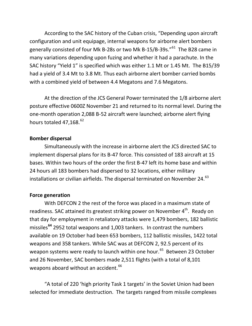According to the SAC history of the Cuban crisis, "Depending upon aircraft configuration and unit equipage, internal weapons for airborne alert bombers generally consisted of four Mk B-28s or two Mk B-15/B-39s."<sup>61</sup> The B28 came in many variations depending upon fuzing and whether it had a parachute. In the SAC history "Yield 1" is specified which was either 1.1 Mt or 1.45 Mt. The B15/39 had a yield of 3.4 Mt to 3.8 Mt. Thus each airborne alert bomber carried bombs with a combined yield of between 4.4 Megatons and 7.6 Megatons.

At the direction of the JCS General Power terminated the 1/8 airborne alert posture effective 0600Z November 21 and returned to its normal level. During the one-month operation 2,088 B-52 aircraft were launched; airborne alert flying hours totaled 47,168.<sup>[62](#page-55-22)</sup>

#### **Bomber dispersal**

Simultaneously with the increase in airborne alert the JCS directed SAC to implement dispersal plans for its B-47 force. This consisted of 183 aircraft at 15 bases. Within two hours of the order the first B-47 left its home base and within 24 hours all 183 bombers had dispersed to 32 locations, either military installations or civilian airfields. The dispersal terminated on November 24.<sup>[63](#page-55-32)</sup>

### **Force generation**

With DEFCON 2 the rest of the force was placed in a maximum state of readiness. SAC attained its greatest striking power on November 4<sup>th</sup>. Ready on that day for employment in retaliatory attacks were 1,479 bombers, 182 ballistic missiles**[64](#page-55-33)** 2952 total weapons and 1,003 tankers. In contrast the numbers available on 19 October had been 653 bombers, 112 ballistic missiles, 1422 total weapons and 358 tankers. While SAC was at DEFCON 2, 92.5 percent of its weapon systems were ready to launch within one hour.<sup>[65](#page-55-34)</sup> Between 23 October and 26 November, SAC bombers made 2,511 flights (with a total of 8,101 weapons aboard without an accident. <sup>[66](#page-55-35)</sup>

"A total of 220 'high priority Task 1 targets' in the Soviet Union had been selected for immediate destruction. The targets ranged from missile complexes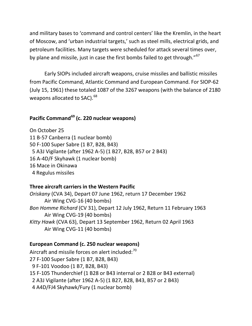and military bases to 'command and control centers' like the Kremlin, in the heart of Moscow, and 'urban industrial targets,' such as steel mills, electrical grids, and petroleum facilities. Many targets were scheduled for attack several times over, by plane and missile, just in case the first bombs failed to get through."<sup>[67](#page-55-25)</sup>

Early SIOPs included aircraft weapons, cruise missiles and ballistic missiles from Pacific Command, Atlantic Command and European Command. For SIOP-62 (July 15, 1961) these totaled 1087 of the 3267 weapons (with the balance of 2180 weapons allocated to SAC).<sup>[68](#page-55-36)</sup>

# **Pacific Command[69](#page-55-37) (c. 220 nuclear weapons)**

On October 25 11 B-57 Canberra (1 nuclear bomb) 50 F-100 Super Sabre (1 B7, B28, B43) 5 A3J Vigilante (after 1962 A-5) (1 B27, B28, B57 or 2 B43) 16 A-4D/F Skyhawk (1 nuclear bomb) 16 Mace in Okinawa 4 Regulus missiles

### **Three aircraft carriers in the Western Pacific**

*Oriskany* (CVA 34), Depart 07 June 1962, return 17 December 1962 Air Wing CVG-16 (40 bombs) *Bon Homme Richard* (CV 31), Depart 12 July 1962, Return 11 February 1963 Air Wing CVG-19 (40 bombs) *Kitty Hawk* (CVA 63), Depart 13 September 1962, Return 02 April 1963 Air Wing CVG-11 (40 bombs)

### **European Command (c. 250 nuclear weapons)**

Aircraft and missile forces on alert included:<sup>[70](#page-55-38)</sup> 27 F-100 Super Sabre (1 B7, B28, B43) 9 F-101 Voodoo (1 B7, B28, B43) 15 F-105 Thunderchief (1 B28 or B43 internal or 2 B28 or B43 external) 2 A3J Vigilante (after 1962 A-5) (1 B27, B28, B43, B57 or 2 B43) 4 A4D/FJ4 Skyhawk/Fury (1 nuclear bomb)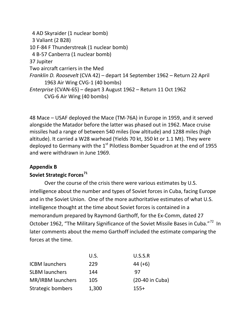4 AD Skyraider (1 nuclear bomb) 3 Valiant (2 B28) 10 F-84 F Thunderstreak (1 nuclear bomb) 4 B-57 Canberra (1 nuclear bomb) 37 Jupiter Two aircraft carriers in the Med *Franklin D. Roosevelt* (CVA 42) – depart 14 September 1962 – Return 22 April 1963 Air Wing CVG-1 (40 bombs) *Enterprise* (CVAN-65) – depart 3 August 1962 – Return 11 Oct 1962 CVG-6 Air Wing (40 bombs)

48 Mace – USAF deployed the Mace (TM-76A) in Europe in 1959, and it served alongside the Matador before the latter was phased out in 1962. Mace cruise missiles had a range of between 540 miles (low altitude) and 1288 miles (high altitude). It carried a W28 warhead (Yields 70 kt, 350 kt or 1.1 Mt). They were deployed to Germany with the  $1<sup>st</sup>$  Pilotless Bomber Squadron at the end of 1955 and were withdrawn in June 1969.

# **Appendix B**

# **Soviet Strategic Forces[71](#page-55-39)**

Over the course of the crisis there were various estimates by U.S. intelligence about the number and types of Soviet forces in Cuba, facing Europe and in the Soviet Union. One of the more authoritative estimates of what U.S. intelligence thought at the time about Soviet forces is contained in a memorandum prepared by Raymond Garthoff, for the Ex-Comm, dated 27 October 1962, "The Military Significance of the Soviet Missile Bases in Cuba."<sup>[72](#page-55-40)</sup> In later comments about the memo Garthoff included the estimate comparing the forces at the time.

|                       | U.S.  | U.S.S.R         |
|-----------------------|-------|-----------------|
| <b>ICBM</b> launchers | 229   | $44 (+6)$       |
| <b>SLBM launchers</b> | 144   | 97              |
| MR/IRBM launchers     | 105   | (20-40 in Cuba) |
| Strategic bombers     | 1,300 | $155+$          |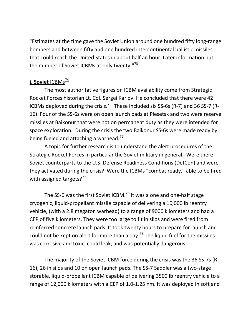"Estimates at the time gave the Soviet Union around one hundred fifty long-range bombers and between fifty and one hundred intercontinental ballistic missiles that could reach the United States in about half an hour. Later information put the number of Soviet ICBMs at only twenty."<sup>[73](#page-55-41)</sup>

# **i. Soviet ICBMs**<sup>[74](#page-55-42)</sup>

The most authoritative figures on ICBM availability come from Strategic Rocket Forces historian Lt. Col. Sergei Karlov. He concluded that there were 42 ICBMs deployed during the crisis.<sup>[75](#page-55-43)</sup> These included six SS-6s (R-7) and 36 SS-7 (R-16). Four of the SS-6s were on open launch pads at Plesetsk and two were reserve missiles at Baikonur that were not on permanent duty as they were intended for space exploration. During the crisis the two Baikonur SS-6s were made ready by being fueled and attaching a warhead.<sup>[76](#page-55-44)</sup>

A topic for further research is to understand the alert procedures of the Strategic Rocket Forces in particular the Soviet military in general. Were there Soviet counterparts to the U.S. Defense Readiness Conditions (DefCon) and were they activated during the crisis? Were the ICBMs "combat ready," able to be fired with assigned targets? $77$ 

The SS-6 was the first Soviet ICBM.**[78](#page-55-46)** It was a one and one-half stage cryogenic, liquid-propellant missile capable of delivering a 10,000 lb reentry vehicle, (with a 2.8 megaton warhead) to a range of 9000 kilometers and had a CEP of five kilometers. They were too large to fit in silos and were fired from reinforced concrete launch pads. It took twenty hours to prepare for launch and could not be kept on alert for more than a day.<sup>[79](#page-55-47)</sup> The liquid fuel for the missiles was corrosive and toxic, could leak, and was potentially dangerous.

The majority of the Soviet ICBM force during the crisis was the 36 SS-7s (R-16), 26 in silos and 10 on open launch pads. The SS-7 Saddler was a two-stage storable, liquid-propellant ICBM capable of delivering 3500 lb reentry vehicle to a range of 12,000 kilometers with a CEP of 1.0-1.25 nm. It was deployed in soft and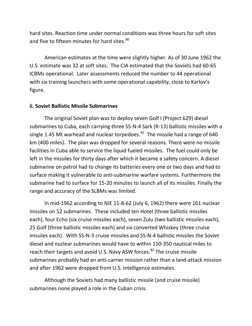hard sites. Reaction time under normal conditions was three hours for soft sites and five to fifteen minutes for hard sites.<sup>[80](#page-55-48)</sup>

American estimates at the time were slightly higher. As of 30 June 1962 the U.S. estimate was 32 at soft sites. The CIA estimated that the Soviets had 60-65 ICBMs operational. Later assessments reduced the number to 44 operational with six training launchers with some operational capability, close to Karlov's figure.

#### **ii. Soviet Ballistic Missile Submarines**

The original Soviet plan was to deploy seven Golf I (Project 629) diesel submarines to Cuba, each carrying three SS-N-4 Sark (R-13) ballistic missiles with a single 1.45 Mt warhead and nuclear torpedoes. $81$  The missile had a range of 640 km (400 miles). The plan was dropped for several reasons. There were no missile facilities in Cuba able to service the liquid fueled missiles. The fuel could only be left in the missiles for thirty days after which it became a safety concern. A diesel submarine on patrol had to change its batteries every one or two days and had to surface making it vulnerable to anti-submarine warfare systems. Furthermore the submarine had to surface for 15-20 minutes to launch all of its missiles. Finally the range and accuracy of the SLBMs was limited.

In mid-1962 according to NIE 11-8-62 (July 6, 1962) there were 161 nuclear missiles on 52 submarines. These included ten Hotel (three ballistic missiles each), four Echo (six cruise missiles each), seven Zulu (two ballistic missiles each), 25 Golf (three ballistic missiles each) and six converted Whiskey (three cruise missiles each). With SS-N-3 cruise missiles and SS-N-4 ballistic missiles the Soviet diesel and nuclear submarines would have to within 150-350 nautical miles to reach their targets and avoid U.S. Navy ASW forces.<sup>[82](#page-55-49)</sup> The cruise missile submarines probably had an anti-carrier mission rather than a land-attack mission and after 1962 were dropped from U.S. intelligence estimates.

Although the Soviets had many ballistic missile (and cruise missile) submarines none played a role in the Cuban crisis.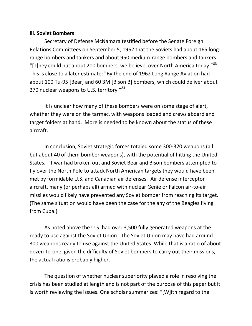#### **iii. Soviet Bombers**

Secretary of Defense McNamara testified before the Senate Foreign Relations Committees on September 5, 1962 that the Soviets had about 165 longrange bombers and tankers and about 950 medium-range bombers and tankers. "[T]hey could put about 200 bombers, we believe, over North America today." $83$ This is close to a later estimate: "By the end of 1962 Long Range Aviation had about 100 Tu-95 [Bear] and 60 3M [Bison B] bombers, which could deliver about 270 nuclear weapons to U.S. territory.<sup>1[84](#page-55-51)</sup>

It is unclear how many of these bombers were on some stage of alert, whether they were on the tarmac, with weapons loaded and crews aboard and target folders at hand. More is needed to be known about the status of these aircraft.

In conclusion, Soviet strategic forces totaled some 300-320 weapons (all but about 40 of them bomber weapons), with the potential of hitting the United States. If war had broken out and Soviet Bear and Bison bombers attempted to fly over the North Pole to attack North American targets they would have been met by formidable U.S. and Canadian air defenses. Air defense interceptor aircraft, many (or perhaps all) armed with nuclear Genie or Falcon air-to-air missiles would likely have prevented any Soviet bomber from reaching its target. (The same situation would have been the case for the any of the Beagles flying from Cuba.)

As noted above the U.S. had over 3,500 fully generated weapons at the ready to use against the Soviet Union. The Soviet Union may have had around 300 weapons ready to use against the United States. While that is a ratio of about dozen-to-one, given the difficulty of Soviet bombers to carry out their missions, the actual ratio is probably higher.

The question of whether nuclear superiority played a role in resolving the crisis has been studied at length and is not part of the purpose of this paper but it is worth reviewing the issues. One scholar summarizes: "[W]ith regard to the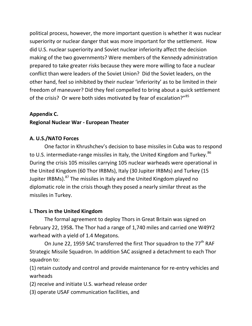political process, however, the more important question is whether it was nuclear superiority or nuclear danger that was more important for the settlement. How did U.S. nuclear superiority and Soviet nuclear inferiority affect the decision making of the two governments? Were members of the Kennedy administration prepared to take greater risks because they were more willing to face a nuclear conflict than were leaders of the Soviet Union? Did the Soviet leaders, on the other hand, feel so inhibited by their nuclear 'inferiority' as to be limited in their freedom of maneuver? Did they feel compelled to bring about a quick settlement of the crisis? Or were both sides motivated by fear of escalation?"<sup>[85](#page-55-25)</sup>

## **Appendix C.**

## **Regional Nuclear War - European Theater**

## **A. U.S./NATO Forces**

One factor in Khrushchev's decision to base missiles in Cuba was to respond to U.S. intermediate-range missiles in Italy, the United Kingdom and Turkey.<sup>[86](#page-55-52)</sup> During the crisis 105 missiles carrying 105 nuclear warheads were operational in the United Kingdom (60 Thor IRBMs), Italy (30 Jupiter IRBMs) and Turkey (15 Jupiter IRBMs).<sup>[87](#page-55-53)</sup> The missiles in Italy and the United Kingdom played no diplomatic role in the crisis though they posed a nearly similar threat as the missiles in Turkey.

### **i. Thors in the United Kingdom**

The formal agreement to deploy Thors in Great Britain was signed on February 22, 1958**.** The Thor had a range of 1,740 miles and carried one W49Y2 warhead with a yield of 1.4 Megatons.

On June 22, 1959 SAC transferred the first Thor squadron to the 77<sup>th</sup> RAF Strategic Missile Squadron. In addition SAC assigned a detachment to each Thor squadron to:

(1) retain custody and control and provide maintenance for re-entry vehicles and warheads

(2) receive and initiate U.S. warhead release order

(3) operate USAF communication facilities, and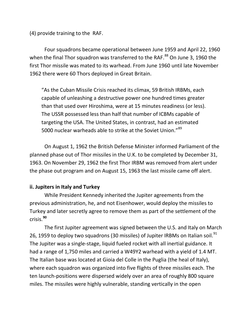(4) provide training to the RAF.

Four squadrons became operational between June 1959 and April 22, 1960 when the final Thor squadron was transferred to the RAF.<sup>[88](#page-55-54)</sup> On June 3, 1960 the first Thor missile was mated to its warhead. From June 1960 until late November 1962 there were 60 Thors deployed in Great Britain.

"As the Cuban Missile Crisis reached its climax, 59 British IRBMs, each capable of unleashing a destructive power one hundred times greater than that used over Hiroshima, were at 15 minutes readiness (or less). The USSR possessed less than half that number of ICBMs capable of targeting the USA. The United States, in contrast, had an estimated 5000 nuclear warheads able to strike at the Soviet Union."<sup>[89](#page-55-55)</sup>

On August 1, 1962 the British Defense Minister informed Parliament of the planned phase out of Thor missiles in the U.K. to be completed by December 31, 1963. On November 29, 1962 the first Thor IRBM was removed from alert under the phase out program and on August 15, 1963 the last missile came off alert.

### **ii. Jupiters in Italy and Turkey**

While President Kennedy inherited the Jupiter agreements from the previous administration, he, and not Eisenhower, would deploy the missiles to Turkey and later secretly agree to remove them as part of the settlement of the crisis. **[90](#page-55-56)**

The first Jupiter agreement was signed between the U.S. and Italy on March 26, 1959 to deploy two squadrons (30 missiles) of Jupiter IRBMs on Italian soil.<sup>[91](#page-55-57)</sup> The Jupiter was a single-stage, liquid fueled rocket with all inertial guidance. It had a range of 1,750 miles and carried a W49Y2 warhead with a yield of 1.4 MT. The Italian base was located at Gioia del Colle in the Puglia (the heal of Italy), where each squadron was organized into five flights of three missiles each. The ten launch-positions were dispersed widely over an area of roughly 800 square miles. The missiles were highly vulnerable, standing vertically in the open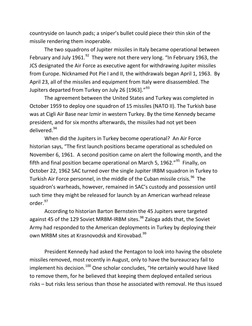countryside on launch pads; a sniper's bullet could piece their thin skin of the missile rendering them inoperable.

The two squadrons of Jupiter missiles in Italy became operational between February and July 1961.<sup>92</sup> They were not there very long. "In February 1963, the JCS designated the Air Force as executive agent for withdrawing Jupiter missiles from Europe. Nicknamed Pot Pie I and II, the withdrawals began April 1, 1963. By April 23, all of the missiles and equipment from Italy were disassembled. The Jupiters departed from Turkey on July 26 [1963]."<sup>[93](#page-55-59)</sup>

The agreement between the United States and Turkey was completed in October 1959 to deploy one squadron of 15 missiles (NATO II). The Turkish base was at Cigli Air Base near Izmir in western Turkey. By the time Kennedy became president, and for six months afterwards, the missiles had not yet been delivered.[94](#page-55-60)

When did the Jupiters in Turkey become operational? An Air Force historian says, "The first launch positions became operational as scheduled on November 6, 1961. A second position came on alert the following month, and the fifth and final position became operational on March 5, 1962."<sup>[95](#page-55-61)</sup> Finally, on October 22, 1962 SAC turned over the single Jupiter IRBM squadron in Turkey to Turkish Air Force personnel, in the middle of the Cuban missile crisis.<sup>[96](#page-55-62)</sup> The squadron's warheads, however, remained in SAC's custody and possession until such time they might be released for launch by an American warhead release order.[97](#page-55-63)

According to historian Barton Bernstein the 45 Jupiters were targeted against 45 of the 129 Soviet MRBM-IRBM sites. $98$  Zaloga adds that, the Soviet Army had responded to the American deployments in Turkey by deploying their own MRBM sites at Krasnovodsk and Kirovabad.<sup>[99](#page-55-15)</sup>

President Kennedy had asked the Pentagon to look into having the obsolete missiles removed, most recently in August, only to have the bureaucracy fail to implement his decision.<sup>[100](#page-55-64)</sup> One scholar concludes, "He certainly would have liked to remove them, for he believed that keeping them deployed entailed serious risks – but risks less serious than those he associated with removal. He thus issued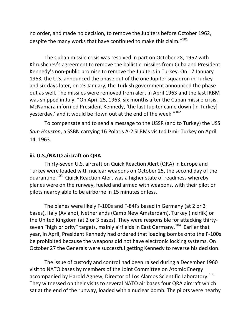no order, and made no decision, to remove the Jupiters before October 1962, despite the many works that have continued to make this claim."<sup>[101](#page-55-65)</sup>

The Cuban missile crisis was resolved in part on October 28, 1962 with Khrushchev's agreement to remove the ballistic missiles from Cuba and President Kennedy's non-public promise to remove the Jupiters in Turkey. On 17 January 1963, the U.S. announced the phase out of the one Jupiter squadron in Turkey and six days later, on 23 January, the Turkish government announced the phase out as well. The missiles were removed from alert in April 1963 and the last IRBM was shipped in July. "On April 25, 1963, six months after the Cuban missile crisis, McNamara informed President Kennedy, 'the last Jupiter came down [in Turkey] yesterday,' and it would be flown out at the end of the week."<sup>[102](#page-55-66)</sup>

To compensate and to send a message to the USSR (and to Turkey) the USS *Sam Houston*, a SSBN carrying 16 Polaris A-2 SLBMs visited Izmir Turkey on April 14, 1963.

#### **iii. U.S./NATO aircraft on QRA**

Thirty-seven U.S. aircraft on Quick Reaction Alert (QRA) in Europe and Turkey were loaded with nuclear weapons on October 25, the second day of the quarantine.<sup>[103](#page-55-67)</sup> Quick Reaction Alert was a higher state of readiness whereby planes were on the runway, fueled and armed with weapons, with their pilot or pilots nearby able to be airborne in 15 minutes or less.

The planes were likely F-100s and F-84Fs based in Germany (at 2 or 3 bases), Italy (Aviano), Netherlands (Camp New Amsterdam), Turkey (Incirlik) or the United Kingdom (at 2 or 3 bases). They were responsible for attacking thirty-seven "high priority" targets, mainly airfields in East Germany.<sup>[104](#page-55-68)</sup> Earlier that year, in April, President Kennedy had ordered that loading bombs onto the F-100s be prohibited because the weapons did not have electronic locking systems. On October 27 the Generals were successful getting Kennedy to reverse his decision.

The issue of custody and control had been raised during a December 1960 visit to NATO bases by members of the Joint Committee on Atomic Energy accompanied by Harold Agnew, Director of Los Alamos Scientific Laboratory.<sup>[105](#page-55-69)</sup> They witnessed on their visits to several NATO air bases four QRA aircraft which sat at the end of the runway, loaded with a nuclear bomb. The pilots were nearby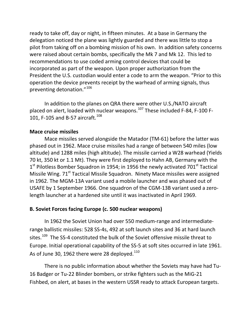ready to take off, day or night, in fifteen minutes. At a base in Germany the delegation noticed the plane was lightly guarded and there was little to stop a pilot from taking off on a bombing mission of his own. In addition safety concerns were raised about certain bombs, specifically the Mk 7 and Mk 12. This led to recommendations to use coded arming control devices that could be incorporated as part of the weapon. Upon proper authorization from the President the U.S. custodian would enter a code to arm the weapon. "Prior to this operation the device prevents receipt by the warhead of arming signals, thus preventing detonation."[106](#page-55-70)

In addition to the planes on QRA there were other U.S./NATO aircraft placed on alert, loaded with nuclear weapons.<sup>[107](#page-55-71)</sup> These included F-84, F-100 F-101, F-105 and B-57 aircraft.<sup>[108](#page-55-72)</sup>

#### **Mace cruise missiles**

Mace missiles served alongside the Matador (TM-61) before the latter was phased out in 1962. Mace cruise missiles had a range of between 540 miles (low altitude) and 1288 miles (high altitude). The missile carried a W28 warhead (Yields 70 kt, 350 kt or 1.1 Mt). They were first deployed to Hahn AB, Germany with the  $1<sup>st</sup>$  Pilotless Bomber Squadron in 1954; in 1956 the newly activated 701 $<sup>st</sup>$  Tactical</sup> Missile Wing. 71<sup>st</sup> Tactical Missile Squadron. Ninety Mace missiles were assigned in 1962. The MGM-13A variant used a mobile launcher and was phased out of USAFE by 1 September 1966. One squadron of the CGM-13B variant used a zerolength launcher at a hardened site until it was inactivated in April 1969.

### **B. Soviet Forces facing Europe (c. 500 nuclear weapons)**

In 1962 the Soviet Union had over 550 medium-range and intermediaterange ballistic missiles: 528 SS-4s, 492 at soft launch sites and 36 at hard launch sites.<sup>109</sup> The SS-4 constituted the bulk of the Soviet offensive missile threat to Europe. Initial operational capability of the SS-5 at soft sites occurred in late 1961. As of June 30, 1962 there were 28 deployed. $^{\rm 110}$  $^{\rm 110}$  $^{\rm 110}$ 

There is no public information about whether the Soviets may have had Tu-16 Badger or Tu-22 Blinder bombers, or strike fighters such as the MiG-21 Fishbed, on alert, at bases in the western USSR ready to attack European targets.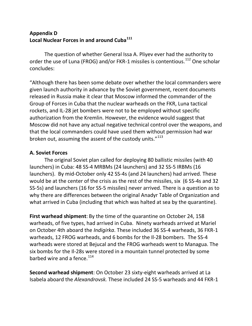# **Appendix D Local Nuclear Forces in and around Cuba[111](#page-55-75)**

The question of whether General Issa A. Pliyev ever had the authority to order the use of Luna (FROG) and/or FKR-1 missiles is contentious.<sup>[112](#page-55-76)</sup> One scholar concludes:

"Although there has been some debate over whether the local commanders were given launch authority in advance by the Soviet government, recent documents released in Russia make it clear that Moscow informed the commander of the Group of Forces in Cuba that the nuclear warheads on the FKR, Luna tactical rockets, and IL-28 jet bombers were not to be employed without specific authorization from the Kremlin. However, the evidence would suggest that Moscow did not have any actual negative technical control over the weapons, and that the local commanders could have used them without permission had war broken out, assuming the assent of the custody units."<sup>[113](#page-55-77)</sup>

### **A. Soviet Forces**

The original Soviet plan called for deploying 80 ballistic missiles (with 40 launchers) in Cuba: 48 SS-4 MRBMs (24 launchers) and 32 SS-5 IRBMs (16 launchers). By mid-October only 42 SS-4s (and 24 launchers) had arrived. These would be at the center of the crisis as the rest of the missiles, six (6 SS-4s and 32 SS-5s) and launchers (16 for SS-5 missiles) never arrived. There is a question as to why there are differences between the original Anadyr Table of Organization and what arrived in Cuba (including that which was halted at sea by the quarantine).

**First warhead shipment**: By the time of the quarantine on October 24, 158 warheads, of five types, had arrived in Cuba. Ninety warheads arrived at Mariel on October 4th aboard the *Indigirka*. These included 36 SS-4 warheads, 36 FKR-1 warheads, 12 FROG warheads, and 6 bombs for the Il-28 bombers. The SS-4 warheads were stored at Bejucal and the FROG warheads went to Managua. The six bombs for the Il-28s were stored in a mountain tunnel protected by some barbed wire and a fence.<sup>[114](#page-55-78)</sup>

**Second warhead shipment**: On October 23 sixty-eight warheads arrived at La Isabela aboard the *Alexandrovsk.* These included 24 SS-5 warheads and 44 FKR-1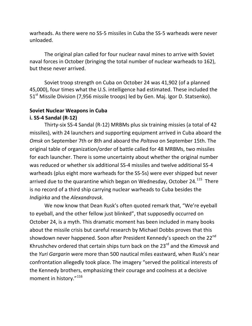warheads. As there were no SS-5 missiles in Cuba the SS-5 warheads were never unloaded.

The original plan called for four nuclear naval mines to arrive with Soviet naval forces in October (bringing the total number of nuclear warheads to 162), but these never arrived.

Soviet troop strength on Cuba on October 24 was 41,902 (of a planned 45,000), four times what the U.S. intelligence had estimated. These included the 51<sup>st</sup> Missile Division (7,956 missile troops) led by Gen. Maj. Igor D. Statsenko).

# **Soviet Nuclear Weapons in Cuba i. SS-4 Sandal (R-12)**

Thirty-six SS-4 Sandal (R-12) MRBMs plus six training missies (a total of 42 missiles), with 24 launchers and supporting equipment arrived in Cuba aboard the *Omsk* on September 7th or 8th and aboard the *Poltava* on September 15th. The original table of organization/order of battle called for 48 MRBMs, two missiles for each launcher. There is some uncertainty about whether the original number was reduced or whether six additional SS-4 missiles and twelve additional SS-4 warheads (plus eight more warheads for the SS-5s) were ever shipped but never arrived due to the quarantine which began on Wednesday, October 24. $115$  There is no record of a third ship carrying nuclear warheads to Cuba besides the *Indigirka* and the *Alexandrovsk*.

We now know that Dean Rusk's often quoted remark that, "We're eyeball to eyeball, and the other fellow just blinked", that supposedly occurred on October 24, is a myth. This dramatic moment has been included in many books about the missile crisis but careful research by Michael Dobbs proves that this showdown never happened. Soon after President Kennedy's speech on the 22<sup>nd</sup> Khrushchev ordered that certain ships turn back on the 23rd and the *Kimovsk* and the *Yuri Gargarin* were more than 500 nautical miles eastward, when Rusk's near confrontation allegedly took place. The imagery "served the political interests of the Kennedy brothers, emphasizing their courage and coolness at a decisive moment in history." [116](#page-55-80)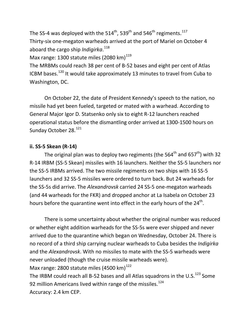The SS-4 was deployed with the 514<sup>th</sup>, 539<sup>th</sup> and 546<sup>th</sup> regiments. $^{117}$  $^{117}$  $^{117}$ Thirty-six one-megaton warheads arrived at the port of Mariel on October 4 aboard the cargo ship *Indigirka*. [118](#page-55-82) Max range: 1300 statute miles (2080 km)<sup>[119](#page-55-83)</sup> The MRBMs could reach 38 per cent of B-52 bases and eight per cent of Atlas ICBM bases.<sup>[120](#page-55-84)</sup> It would take approximately 13 minutes to travel from Cuba to Washington, DC.

On October 22, the date of President Kennedy's speech to the nation, no missile had yet been fueled, targeted or mated with a warhead. According to General Major Igor D. Statsenko only six to eight R-12 launchers reached operational status before the dismantling order arrived at 1300-1500 hours on Sunday October 28.<sup>[121](#page-55-85)</sup>

#### **ii. SS-5 Skean (R-14)**

The original plan was to deploy two regiments (the  $564^{\text{th}}$  and  $657^{\text{th}}$ ) with 32 R-14 IRBM (SS-5 Skean) missiles with 16 launchers. Neither the SS-5 launchers nor the SS-5 IRBMs arrived. The two missile regiments on two ships with 16 SS-5 launchers and 32 SS-5 missiles were ordered to turn back. But 24 warheads for the SS-5s did arrive. The *Alexandrovsk* carried 24 SS-5 one-megaton warheads (and 44 warheads for the FKR) and dropped anchor at La Isabela on October 23 hours before the quarantine went into effect in the early hours of the  $24<sup>th</sup>$ .

There is some uncertainty about whether the original number was reduced or whether eight addition warheads for the SS-5s were ever shipped and never arrived due to the quarantine which began on Wednesday, October 24. There is no record of a third ship carrying nuclear warheads to Cuba besides the *Indigirka* and the *Alexandrovsk*. With no missiles to mate with the SS-5 warheads were never unloaded (though the cruise missile warheads were). Max range: 2800 statute miles (4500 km) $^{122}$  $^{122}$  $^{122}$ The IRBM could reach all B-52 bases and all Atlas squadrons in the U.S.<sup>[123](#page-55-87)</sup> Some 92 million Americans lived within range of the missiles. $124$ Accuracy: 2.4 km CEP.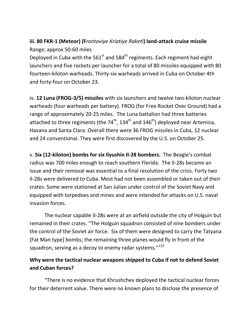# **iii. 80 FKR-1 (Meteor) (F***rontoviye Kriatiye Raketi***) land-attack cruise missile** Range; approx 50-60 miles

Deployed in Cuba with the  $561<sup>st</sup>$  and  $584<sup>th</sup>$  regiments. Each regiment had eight launchers and five rockets per launcher for a total of 80 missiles equipped with 80 fourteen-kiloton warheads. Thirty-six warheads arrived in Cuba on October 4th and forty-four on October 23.

iv. **12 Luna (FROG-3/5) missiles** with six launchers and twelve two-kiloton nuclear warheads (four warheads per battery). FROG (for Free Rocket Over Ground) had a range of approximately 20-25 miles. The Luna battalion had three batteries attached to three regiments (the  $74<sup>th</sup>$ , 134<sup>th</sup> and 146<sup>th</sup>) deployed near Artemisa, Havana and Santa Clara. Overall there were 36 FROG missiles in Cuba, 12 nuclear and 24 conventional. They were first discovered by the U.S. on October 25.

v. **Six (12-kiloton) bombs for six Ilyushin Il-28 bombers.** The Beagle's combat radius was 700 miles enough to reach southern Florida. The Il-28s became an issue and their removal was essential to a final resolution of the crisis. Forty two Il-28s were delivered to Cuba. Most had not been assembled or taken out of their crates. Some were stationed at San Julian under control of the Soviet Navy and equipped with torpedoes and mines and were intended for attacks on U.S. naval invasion forces.

The nuclear capable Il-28s were at an airfield outside the city of Holguin but remained in their crates. "The Holguin squadron consisted of nine bombers under the control of the Soviet air force. Six of them were designed to carry the Tatyana [Fat Man type] bombs; the remaining three planes would fly in front of the squadron, serving as a decoy to enemy radar systems."<sup>[125](#page-55-36)</sup>

# **Why were the tactical nuclear weapons shipped to Cuba if not to defend Soviet and Cuban forces?**

"There is no evidence that Khrushchev deployed the tactical nuclear forces for their deterrent value. There were no known plans to disclose the presence of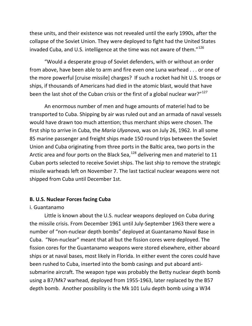these units, and their existence was not revealed until the early 1990s, after the collapse of the Soviet Union. They were deployed to fight had the United States invaded Cuba, and U.S. intelligence at the time was not aware of them."<sup>[126](#page-55-88)</sup>

"Would a desperate group of Soviet defenders, with or without an order from above, have been able to arm and fire even one Luna warhead . . . or one of the more powerful [cruise missile] charges? If such a rocket had hit U.S. troops or ships, if thousands of Americans had died in the atomic blast, would that have been the last shot of the Cuban crisis or the first of a global nuclear war?"<sup>[127](#page-55-89)</sup>

An enormous number of men and huge amounts of materiel had to be transported to Cuba. Shipping by air was ruled out and an armada of naval vessels would have drawn too much attention; thus merchant ships were chosen. The first ship to arrive in Cuba, the *Maria Ulyanova*, was on July 26, 1962. In all some 85 marine passenger and freight ships made 150 round trips between the Soviet Union and Cuba originating from three ports in the Baltic area, two ports in the Arctic area and four ports on the Black Sea, $^{128}$  $^{128}$  $^{128}$  delivering men and materiel to 11 Cuban ports selected to receive Soviet ships. The last ship to remove the strategic missile warheads left on November 7. The last tactical nuclear weapons were not shipped from Cuba until December 1st.

#### **B. U.S. Nuclear Forces facing Cuba**

#### i. Guantanamo

Little is known about the U.S. nuclear weapons deployed on Cuba during the missile crisis. From December 1961 until July-September 1963 there were a number of "non-nuclear depth bombs" deployed at Guantanamo Naval Base in Cuba. "Non-nuclear" meant that all but the fission cores were deployed. The fission cores for the Guantanamo weapons were stored elsewhere, either aboard ships or at naval bases, most likely in Florida. In either event the cores could have been rushed to Cuba, inserted into the bomb casings and put aboard antisubmarine aircraft. The weapon type was probably the Betty nuclear depth bomb using a B7/Mk7 warhead, deployed from 1955-1963, later replaced by the B57 depth bomb. Another possibility is the Mk 101 Lulu depth bomb using a W34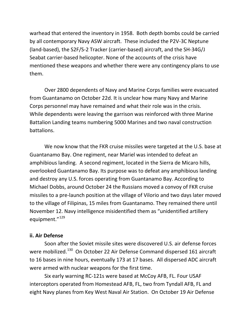warhead that entered the inventory in 1958. Both depth bombs could be carried by all contemporary Navy ASW aircraft. These included the P2V-3C Neptune (land-based), the S2F/S-2 Tracker (carrier-based) aircraft, and the SH-34G/J Seabat carrier-based helicopter. None of the accounts of the crisis have mentioned these weapons and whether there were any contingency plans to use them.

Over 2800 dependents of Navy and Marine Corps families were evacuated from Guantanamo on October 22d. It is unclear how many Navy and Marine Corps personnel may have remained and what their role was in the crisis. While dependents were leaving the garrison was reinforced with three Marine Battalion Landing teams numbering 5000 Marines and two naval construction battalions.

We now know that the FKR cruise missiles were targeted at the U.S. base at Guantanamo Bay. One regiment, near Mariel was intended to defeat an amphibious landing. A second regiment, located in the Sierra de Micaro hills, overlooked Guantanamo Bay. Its purpose was to defeat any amphibious landing and destroy any U.S. forces operating from Guantanamo Bay. According to Michael Dobbs, around October 24 the Russians moved a convoy of FKR cruise missiles to a pre-launch position at the village of Vilorio and two days later moved to the village of Filipinas, 15 miles from Guantanamo. They remained there until November 12. Navy intelligence misidentified them as "unidentified artillery equipment."<sup>[129](#page-55-90)</sup>

#### **ii. Air Defense**

Soon after the Soviet missile sites were discovered U.S. air defense forces were mobilized.<sup>[130](#page-55-41)</sup> On October 22 Air Defense Command dispersed 161 aircraft to 16 bases in nine hours, eventually 173 at 17 bases. All dispersed ADC aircraft were armed with nuclear weapons for the first time.

Six early warning RC-121s were based at McCoy AFB, FL. Four USAF interceptors operated from Homestead AFB, FL, two from Tyndall AFB, FL and eight Navy planes from Key West Naval Air Station. On October 19 Air Defense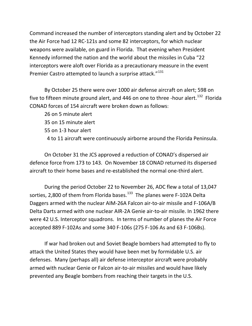Command increased the number of interceptors standing alert and by October 22 the Air Force had 12 RC-121s and some 82 interceptors, for which nuclear weapons were available, on guard in Florida. That evening when President Kennedy informed the nation and the world about the missiles in Cuba "22 interceptors were aloft over Florida as a precautionary measure in the event Premier Castro attempted to launch a surprise attack."<sup>[131](#page-55-91)</sup>

By October 25 there were over 1000 air defense aircraft on alert; 598 on five to fifteen minute ground alert, and 446 on one to three -hour alert.<sup>132</sup> Florida CONAD forces of 154 aircraft were broken down as follows:

26 on 5 minute alert 35 on 15 minute alert

55 on 1-3 hour alert

4 to 11 aircraft were continuously airborne around the Florida Peninsula.

On October 31 the JCS approved a reduction of CONAD's dispersed air defence force from 173 to 143. On November 18 CONAD returned its dispersed aircraft to their home bases and re-established the normal one-third alert.

During the period October 22 to November 26, ADC flew a total of 13,047 sorties, 2,800 of them from Florida bases.<sup>[133](#page-55-93)</sup> The planes were F-102A Delta Daggers armed with the nuclear AIM-26A Falcon air-to-air missile and F-106A/B Delta Darts armed with one nuclear AIR-2A Genie air-to-air missile. In 1962 there were 42 U.S. Interceptor squadrons. In terms of number of planes the Air Force accepted 889 F-102As and some 340 F-106s (275 F-106 As and 63 F-106Bs).

If war had broken out and Soviet Beagle bombers had attempted to fly to attack the United States they would have been met by formidable U.S. air defenses. Many (perhaps all) air defense interceptor aircraft were probably armed with nuclear Genie or Falcon air-to-air missiles and would have likely prevented any Beagle bombers from reaching their targets in the U.S.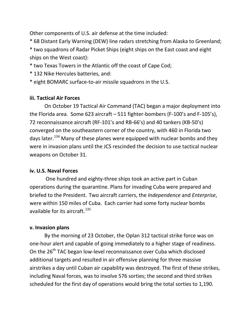Other components of U.S. air defense at the time included:

\* 68 Distant Early Warning (DEW) line radars stretching from Alaska to Greenland;

\* two squadrons of Radar Picket Ships (eight ships on the East coast and eight ships on the West coast):

\* two Texas Towers in the Atlantic off the coast of Cape Cod;

\* 132 Nike Hercules batteries, and:

\* eight BOMARC surface-to-air missile squadrons in the U.S.

# **iii. Tactical Air Forces**

On October 19 Tactical Air Command (TAC) began a major deployment into the Florida area. Some 623 aircraft – 511 fighter-bombers (F-100's and F-105's), 72 reconnaissance aircraft (RF-101's and RB-66's) and 40 tankers (KB-50's) converged on the southeastern corner of the country, with 460 in Florida two days later.<sup>[134](#page-55-94)</sup> Many of these planes were equipped with nuclear bombs and they were in invasion plans until the JCS rescinded the decision to use tactical nuclear weapons on October 31.

# **iv. U.S. Naval Forces**

One hundred and eighty-three ships took an active part in Cuban operations during the quarantine. Plans for invading Cuba were prepared and briefed to the President. Two aircraft carriers, the *Independence* and *Enterprise*, were within 150 miles of Cuba. Each carrier had some forty nuclear bombs available for its aircraft. $135$ 

# **v. Invasion plans**

By the morning of 23 October, the Oplan 312 tactical strike force was on one-hour alert and capable of going immediately to a higher stage of readiness. On the 26<sup>th</sup> TAC began low-level reconnaissance over Cuba which disclosed additional targets and resulted in air offensive planning for three massive airstrikes a day until Cuban air capability was destroyed. The first of these strikes, including Naval forces, was to involve 576 sorties; the second and third strikes scheduled for the first day of operations would bring the total sorties to 1,190.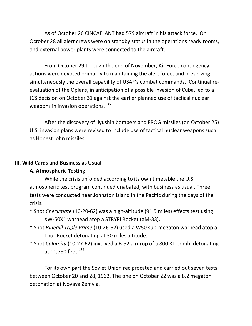As of October 26 CINCAFLANT had 579 aircraft in his attack force. On October 28 all alert crews were on standby status in the operations ready rooms, and external power plants were connected to the aircraft.

From October 29 through the end of November, Air Force contingency actions were devoted primarily to maintaining the alert force, and preserving simultaneously the overall capability of USAF's combat commands. Continual reevaluation of the Oplans, in anticipation of a possible invasion of Cuba, led to a JCS decision on October 31 against the earlier planned use of tactical nuclear weapons in invasion operations.<sup>[136](#page-55-96)</sup>

After the discovery of Ilyushin bombers and FROG missiles (on October 25) U.S. invasion plans were revised to include use of tactical nuclear weapons such as Honest John missiles.

#### **III. Wild Cards and Business as Usual**

#### **A. Atmospheric Testing**

While the crisis unfolded according to its own timetable the U.S. atmospheric test program continued unabated, with business as usual. Three tests were conducted near Johnston Island in the Pacific during the days of the crisis.

- \* Shot *Checkmate* (10-20-62) was a high-altitude (91.5 miles) effects test using XW-50X1 warhead atop a STRYPI Rocket (XM-33).
- \* Shot *Bluegill Triple Prime* (10-26-62) used a W50 sub-megaton warhead atop a Thor Rocket detonating at 30 miles altitude.
- \* Shot *Calamity* (10-27-62) involved a B-52 airdrop of a 800 KT bomb, detonating at 11.780 feet. $^{137}$  $^{137}$  $^{137}$

For its own part the Soviet Union reciprocated and carried out seven tests between October 20 and 28, 1962. The one on October 22 was a 8.2 megaton detonation at Novaya Zemyla.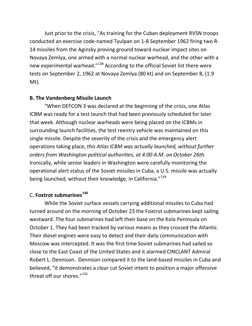Just prior to the crisis, "As training for the Cuban deployment RVSN troops conducted an exercise code-named Tyulpan on 1-8 September 1962 firing two R-14 missiles from the Aginsky proving ground toward nuclear impact sites on Novaya Zemlya, one armed with a normal nuclear warhead, and the other with a new experimental warhead."<sup>[138](#page-55-98)</sup> According to the official Soviet list there were tests on September 2, 1962 at Novaya Zemlya (80 kt) and on September 8, (1.9 Mt).

## **B. The Vandenberg Missile Launch**

"When DEFCON 3 was declared at the beginning of the crisis, one Atlas ICBM was ready for a test launch that had been previously scheduled for later that week. Although nuclear warheads were being placed on the ICBMs in surrounding launch facilities, the test reentry vehicle was maintained on this single missile. Despite the severity of the crisis and the emergency alert operations taking place, *this Atlas ICBM was actually launched, without further orders from Washington political authorities, at 4:00 A.M. on October 26th.* Ironically, while senior leaders in Washington were carefully monitoring the operational alert status of the Soviet missiles in Cuba, a U.S. missile was actually being launched, without their knowledge, in California."<sup>[139](#page-55-7)</sup>

# C. **Foxtrot submarines[140](#page-55-99)**

While the Soviet surface vessels carrying additional missiles to Cuba had turned around on the morning of October 23 the Foxtrot submarines kept sailing westward. The four submarines had left their base on the Kola Peninsula on October 1. They had been tracked by various means as they crossed the Atlantic. Their diesel engines were easy to detect and their daily communication with Moscow was intercepted. It was the first time Soviet submarines had sailed so close to the East Coast of the United States and it alarmed CINCLANT Admiral Robert L. Dennison. Dennison compared it to the land-based missiles in Cuba and believed, "it demonstrates a clear cut Soviet intent to position a major offensive threat off our shores."<sup>[141](#page-55-100)</sup>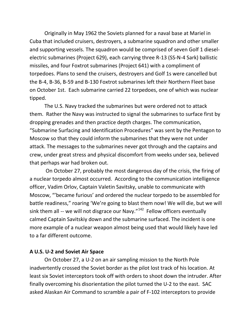Originally in May 1962 the Soviets planned for a naval base at Mariel in Cuba that included cruisers, destroyers, a submarine squadron and other smaller and supporting vessels. The squadron would be comprised of seven Golf 1 dieselelectric submarines (Project 629), each carrying three R-13 (SS-N-4 Sark) ballistic missiles, and four Foxtrot submarines (Project 641) with a compliment of torpedoes. Plans to send the cruisers, destroyers and Golf 1s were cancelled but the B-4, B-36, B-59 and B-130 Foxtrot submarines left their Northern Fleet base on October 1st. Each submarine carried 22 torpedoes, one of which was nuclear tipped.

The U.S. Navy tracked the submarines but were ordered not to attack them. Rather the Navy was instructed to signal the submarines to surface first by dropping grenades and then practice depth charges. The communication, "Submarine Surfacing and Identification Procedures" was sent by the Pentagon to Moscow so that they could inform the submarines that they were not under attack. The messages to the submarines never got through and the captains and crew, under great stress and physical discomfort from weeks under sea, believed that perhaps war had broken out.

On October 27, probably the most dangerous day of the crisis, the firing of a nuclear torpedo almost occurred. According to the communication intelligence officer, Vadim Orlov, Captain Valetin Savitsky, unable to communicate with Moscow, "'became furious' and ordered the nuclear torpedo to be assembled for battle readiness," roaring 'We're going to blast them now! We will die, but we will sink them all -- we will not disgrace our Navy. $^{142}$  $^{142}$  $^{142}$  Fellow officers eventually calmed Captain Savitskiy down and the submarine surfaced. The incident is one more example of a nuclear weapon almost being used that would likely have led to a far different outcome.

#### **A U.S. U-2 and Soviet Air Space**

On October 27, a U-2 on an air sampling mission to the North Pole inadvertently crossed the Soviet border as the pilot lost track of his location. At least six Soviet interceptors took off with orders to shoot down the intruder. After finally overcoming his disorientation the pilot turned the U-2 to the east. SAC asked Alaskan Air Command to scramble a pair of F-102 interceptors to provide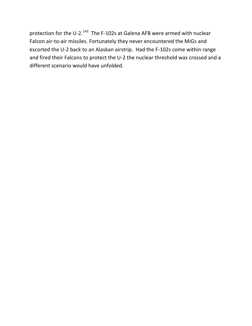protection for the U-2.<sup>[143](#page-55-101)</sup> The F-102s at Galena AFB were armed with nuclear Falcon air-to-air missiles. Fortunately they never encountered the MiGs and escorted the U-2 back to an Alaskan airstrip. Had the F-102s come within range and fired their Falcons to protect the U-2 the nuclear threshold was crossed and a different scenario would have unfolded.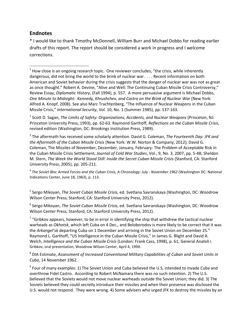#### **Endnotes**

\* I would like to thank Timothy McDonnell, William Burr and Michael Dobbs for reading earlier drafts of this report. The report should be considered a work in progress and I welcome corrections.

<sup>2</sup> Scott D. Sagan, *The Limits of Safety: Organizations, Accidents, and Nuclear Weapons* (Princeton, NJ: Princeton University Press, 1993), pp. 62-63. Raymond Garthoff, *Reflections on the Cuban Missile Crisis,* revised edition (Washington, DC: Brookings Institution Press, 1989).

<sup>3</sup> The aftermath has received some scholarly attention. David G. Coleman, *The Fourteenth Day: JFK and the Aftermath of the Cuban Missile Crisis* (New York: W.W. Norton & Company, 2012); David G. Coleman, The Missiles of November, December, January, February: The Problem of Acceptable Risk in the Cuban Missile Crisis Settlement, *Journal of Cold War Studies*, Vol., 9, No. 3, 2007, pp. 5-48; Sheldon M. Stern, *The Week the World Stood Still: Inside the Secret Cuban Missile Crisis* (Stanford, CA: Stanford University Press, 2005), pp. 205-211.

<sup>4</sup> *The Soviet Bloc Armed Forces and the Cuban Crisis, A Chronology: July - November 1962* (Washington DC: National Indications Center, June 18, 1963), p. 113.

<sup>5</sup> Sergo Mikoyan, *The Soviet Cuban Missile Crisis,* ed. Svetlana Savranskaya (Washington, DC: Woodrow Wilson Center Press; Stanford, CA: Stanford University Press, 2012).

<sup>6</sup> Sergo Mikoyan, *The Soviet Cuban Missile Crisis*, ed. Svetlana Savranskaya (Washington, DC: Woodrow Wilson Center Press; Stanford, CA: Stanford University Press, 2012).

 $7$  "Gribkov appears, however, to be in error in identifying the ship that withdrew the tactical nuclear warheads as *Okhotsk*, which left Cuba on 4 Dec., and Beloborodov is more likely to be correct that it was the *Arkangel'sk* departing Cuba on 1 December and arriving in the Soviet Union on December 25." Raymond L. Garthoff, "US Intelligence in the Cuban Missile Crisis," in James G. Blight and David A. Welch, *Intelligence and the Cuban Missile Crisis* (London: Frank Cass, 1998), p. 61; General Anatoli I. Gribkov, oral presentation, Woodrow Wilson Center, April 4, 1994.

<sup>8</sup> DIA Estimate, *Assessment of Increased Conventional Military Capabilities of Cuban and Soviet Units in Cuba*, 14 November 1962.

 $9$  Four of many examples: 1) The Soviet Union and Cuba believed the U.S, intended to invade Cuba and overthrow Fidel Castro. According to Robert McNamara there was no such intention. 2) The U.S. believed that the Soviets would not move nuclear warheads outside the Soviet Union; they did. 3) The Soviets believed they could secretly introduce their missiles and when their presence was disclosed the U.S. would not respond. They were wrong. 4) Some advisers who urged JFK to destroy the missiles by an

 $1$  How close is an ongoing research topic. One reviewer concludes, "the crisis, while inherently dangerous, did not bring the world to the brink of nuclear war. . . . Recent information on both American and Soviet behavior during the crisis suggests that the danger of nuclear war was not as great as once thought." Robert A. Devine, "Alive and Well: The Continuing Cuban Missile Crisis Controversy," Review Essay, *Diplomatic History*, (Fall 1994), p. 557. A more persuasive argument is Michael Dobbs, *One Minute to Midnight: Kennedy, Khrushchev, and Castro on the Brink of Nuclear War* (New York: Alfred A. Knopf, 2008). See also Marc Trachtenberg, "The Influence of Nuclear Weapons in the Cuban Missile Crisis," *International Security*, Vol. 10, No. 1 (Summer 1985), pp. 137-163.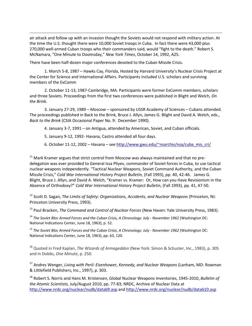air attack and follow up with an invasion thought the Soviets would not respond with military action. At the time the U.S. thought there were 10,000 Soviet troops in Cuba. In fact there were 43,000 plus 270,000 well-armed Cuban troops who their commanders said, would "fight to the death." Robert S. McNamara, "One Minute to Doomsday," *New York Times*, October 14, 1992, A25.

There have been half-dozen major conferences devoted to the Cuban Missile Crisis.

 $\overline{\phantom{a}}$ 

<span id="page-45-0"></span>1. March 5-8, 1987 – Hawks Cay, Florida, Hosted by Harvard University's Nuclear Crisis Project at the Center for Science and International Affairs. Participants included U.S. scholars and surviving members of the ExComm

2. October 11-13, 1987-Cambridge, MA. Participants were former ExComm members, scholars and three Soviets. Proceedings from the first two conferences were published in Blight and Welch, *On the Brink*.

<span id="page-45-1"></span>3. January 27-29, 1989 – Moscow – sponsored by USSR Academy of Sciences – Cubans attended. The proceedings published in Back to the Brink, Bruce J. Allyn, James G. Blight and David A. Welch, eds., *Back to the Brink* (CSIA Occasional Paper No. 9: December 1990).

4. January 3-7, 1991 – on Antigua, attended by American, Soviet, and Cuban officials.

- 5. January 9-12, 1992- Havana, Castro attended all four days.
- 6. October 11-12, 2002 Havana see [http://www.gwu.edu/~nsarchiv/nsa/cuba\\_mis\\_cri/](http://www.gwu.edu/~nsarchiv/nsa/cuba_mis_cri/)

 $11$  Mark Kramer argues that strict control from Moscow was always maintained and that no predelegation was ever provided to General Issa Pliyev, commander of Soviet forces in Cuba, to use tactical nuclear weapons independently. "Tactical Nuclear Weapons, Soviet Command Authority, and the Cuban Missile Crisis," *Cold War International History Project Bulletin*, (Fall 1993), pp. 40, 42-46. James G. Blight, Bruce J. Allyn, and David A. Welch, "Kramer vs. Kramer: Or, How can you Have Revisionism in the Absence of Orthodoxy?" *Cold War International History Project Bulletin*, (Fall 1993), pp. 41, 47-50.

<sup>12</sup> Scott D. Sagan, *The Limits of Safety: Organizations, Accidents, and Nuclear Weapons* (Princeton, NJ: Princeton University Press, 1993).

<sup>13</sup> Paul Bracken, *The Command and Control of Nuclear Forces* (New Haven: Yale University Press, 1983).

<sup>14</sup> *The Soviet Bloc Armed Forces and the Cuban Crisis, A Chronology: July - November 1962* (Washington DC: National Indications Center, June 18, 1963), p. 52.

<sup>15</sup> *The Soviet Bloc Armed Forces and the Cuban Crisis, A Chronology: July - November 1962* (Washington DC: National Indications Center, June 18, 1963), pp. 63, 120.

<sup>16</sup> Quoted in Fred Kaplan, *The Wizards of Armageddon* (New York: Simon & Schuster, Inc., 1983), p. 305 and in Dobbs, *One Minute*, p. 250.

<sup>17</sup> Andres Wenger, *Living with Peril: Eisenhower, Kennedy, and Nuclear Weapons* (Lanham, MD: Rowman & Littlefield Publishers, Inc., 1997), p. 303.

<sup>18</sup> Robert S. Norris and Hans M. Kristensen, Global Nuclear Weapons Inventories, 1945-2010, *Bulletin of the Atomic Scientists,* July/August 2010, pp. 77-83; NRDC, Archive of Nuclear Data at <http://www.nrdc.org/nuclear/nudb/datab9.asp> and<http://www.nrdc.org/nuclear/nudb/datab10.asp>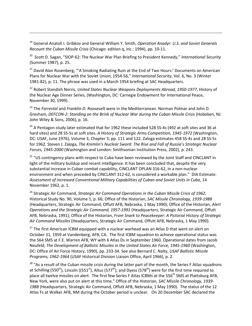<sup>19</sup> General Anatoli I. Gribkov and General William Y. Smith, *Operation Anadyr: U.S. and Soviet Generals Recount the Cuban Missile Crisis* (Chicago: edition q, inc.: 1994), pp. 10-11.

 $\overline{\phantom{a}}$ 

20 Scott D. Sagan, "SIOP-62: The Nuclear War Plan Briefing to President Kennedy," *International Security* (Summer 1987), p. 25.

<sup>21</sup> David Alan Rosenberg, "'A Smoking Radiating Ruin at the End of Two Hours:' Documents on American Plans for Nuclear War with the Soviet Union, 1954-56," *International Security*, Vol. 6, No. 3 (Winter 1981-82), p. 11. The phrase was used in a March 1954 briefing at SAC Headquarters.

<sup>22</sup> Robert Standish Norris, *United States Nuclear Weapons Deployments Abroad, 1950-1977*, History of the Nuclear Age Dinner Series, (Washington, DC: Carnegie Endowment for International Peace, November 30, 1999).

<sup>23</sup> The *Forrestal* and *Franklin D. Roosevelt* were in the Mediterranean. Norman Polmar and John D. Gresham, *DEFCON-2: Standing on the Brink of Nuclear War during the Cuban Missile Crisis* (Hoboken, NJ: John Wiley & Sons, 2006), p. 16.

<span id="page-46-0"></span><sup>24</sup> A Pentagon study later estimated that for 1962 these included 528 SS-4s (492 at soft sites and 36 at hard sites) and 28 SS-5s at soft sites. *A History of Strategic Arms Competition, 1945-1972* (Washington, DC: USAF, June 1976), Volume 3, Chapter 3, pp. 111 and 122. Zaloga estimates 458 SS-4s and 28 SS-5s for 1962. Steven J. Zaloga, *The Kremlin's Nuclear Sword: The Rise and Fall of Russia's Strategic Nuclear Forces, 1945-2000* (Washington and London: Smithsonian Institution Press, 2002), p. 243.

<span id="page-46-1"></span><sup>25</sup> "US contingency plans with respect to Cuba have been reviewed by the Joint Staff and CINCLANT in light of the military buildup and recent intelligence. It has been concluded that, despite the very substantial increase in Cuban combat capability, CINCLANT OPLAN 316-62, in a non-nuclear environment and when preceded by CINCLANT 312-62, is considered a workable plan." DIA Estimate: *Assessment of increased Conventional Military Capabilities of Cuban and Soviet Units in Cuba*, 14 November 1962, p. 1.

<sup>26</sup> Strategic Air Command, *Strategic Air Command Operations in the Cuban Missile Crisis of 1962*, Historical Study No. 90, Volume 1, p. 66; Office of the Historian, *SAC Missile Chronology, 1939-1988* (Headquarters, Strategic Air Command, Offutt AFB, Nebraska, 1 May 1990); Office of the Historian, *Alert Operations and the Strategic Air Command, 1957-1991* (Headquarters, Strategic Air Command, Offutt AFB, Nebraska, 1991); Office of the Historian, *From Snark to Peacekeeper: A Pictorial History of Strategic Air Command Missiles* (Headquarters, Strategic Air Command, Offutt AFB, Nebraska, 1 May 1990).

<sup>27</sup> The first American ICBM equipped with a nuclear warhead was an Atlas D that went on alert on October 31, 1959 at Vandenberg, AFB, CA. The first ICBM squadron to achieve operational status was the 564 SMS at F.E. Warren AFB, WY with 6 Atlas Ds in September 1960. Operational dates from Jacob Neufeld, *The Development of Ballistic Missiles in the United States Air Force, 1945-1960* (Washington, DC: Office of Air Force History, 1990), pp. 233-34. See also Bernard C. Nalty, *USAF Ballistic Missile Programs, 1962-1964* (USAF Historical Division Liaison Office, April 1966), p. 2.

*<sup>28</sup>* "As a result of the Cuban missile crisis during the latter part of the month, the Series F Atlas squadrons at Schilling (550<sup>th</sup>), Lincoln ((551<sup>st</sup>), Altus (577<sup>th</sup>), and Dyess (578<sup>th</sup>) were for the first time required to place all twelve missiles on alert. The first few Series F Atlas ICBMs at the 556<sup>th</sup> SMS at Plattsburg AFB, New York, were also put on alert at this time." Office of the Historian, *SAC Missile Chronology, 1939- 1988* (Headquarters, Strategic Air Command, Offutt AFB, Nebraska, 1 May 1990). The status of the 12 Atlas Fs at Walker AFB, NM during the October period is unclear. On 20 December SAC declared the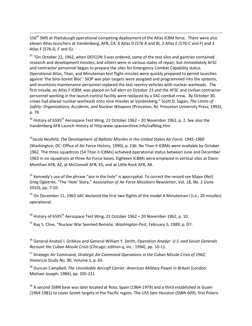556<sup>th</sup> SMS at Plattsburgh operational competing deployment of the Atlas ICBM force. There were also eleven Atlas launchers at Vandenberg, AFB, CA: 6 Atlas D (576 A and B), 2 Atlas E (576-C and F) and 3 Atlas F (576-D, E and G).

 $\overline{\phantom{a}}$ 

 $29$  "On October 22, 1962, when DEFCON 3 was ordered, some of the test silos and gantries contained research and development missiles, and others were in various states of repair, but immediately AFSC and contractor personnel began to prepare the sites for Emergency Combat Capability status. Operational Atlas, Titan, and Minuteman test flight missiles were quickly prepared to permit launches against 'the Sino-Soviet Bloc': SIOP war plan targets were assigned and programmed into the systems, and munitions maintenance personnel replaced the test reentry vehicles with nuclear warheads. The first missile, an Atlas F ICBM, was placed on full alert on October 23 and the AFSC and civilian contractor personnel working in the launch control facility were replaced by a SAC combat crew. By October 30, crews had placed nuclear warheads onto nine missiles at Vandenberg." Scott D. Sagan, *The Limits of Safety: Organizations, Accidents, and Nuclear Weapons* (Princeton, NJ: Princeton University Press, 1993), p. 79.

 $30$  History of 6595<sup>th</sup> Aerospace Test Wing, 22 October 1962 – 20 November 1962, p. 2. See also the Vandenberg AFB Launch History at http:www.spacearchive.info/vafblog.htm

31Jacob Neufeld, *The Development of Ballistic Missiles in the United States Air Force, 1945-1960* (Washington, DC: Office of Air Force History, 1990), p. 236. No Titan II ICBMs were available by October 1962. The three squadrons (54 Titan II ICBMs) achieved operational status between June and December 1963 in six squadrons at three Air Force bases. Eighteen ICBMs were emplaced in vertical silos at Davis-Monthan AFB, AZ, at McConnell AFB, KS, and at Little Rock AFB, AK.

 $32$  Kennedy's use of the phrase "ace in the hole" is apocryphal. To correct the record see Major (Ret) Greg Ogletree, "The 'Hole' Story," *Association of Air Force Missileers Newsletter*, Vol. 18, No. 2 (June 2010), pp. 7-10.

<span id="page-47-0"></span><sup>33</sup> On December 11, 1963 SAC declared the first two flights of the model A Minuteman I (i.e., 20 missiles) operational.

<span id="page-47-2"></span><span id="page-47-1"></span> $34$  History of 6595<sup>th</sup> Aerospace Test Wing, 22 October 1962 – 20 November 1962, p. 10.

<sup>35</sup> Ray S. Cline, "Nuclear War Seemed Remote, *Washington Post*, February 5, 1989, p. D7.

<sup>36</sup> General Anatoli I. Gribkov and General William Y. Smith, *Operation Anadyr: U.S. and Soviet Generals Recount the Cuban Missile Crisis* (Chicago: edition q, inc.: 1994), pp. 10-11.

<span id="page-47-3"></span><sup>37</sup> Strategic Air Command, *Strategic Air Command Operations in the Cuban Missile Crisis of 1962*, Historical Study No. 90, Volume 1, p. 65.

<sup>38</sup> Duncan Campbell, *The Unsinkable Aircraft Carrier: American Military Power in Britain* (London: Michael Joseph, 1984), pp. 205-231

<sup>39</sup> A second SSBN base was later located at Rota, Spain (1964-1979) and a third established at Guam (1964-1981) to cover Soviet targets in the Pacific region. The USS Sam Houston (SSBN 609), first Polaris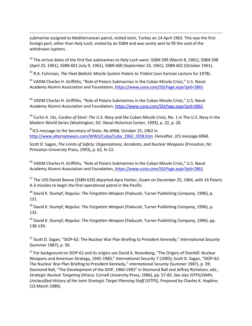submarine assigned to Mediterranean patrol, visited Izmir, Turkey on 14 April 1963. This was the first foreign port, other than Holy Loch, visited by an SSBN and was surely sent to fill the void of the withdrawn Jupiters.

 $\overline{\phantom{a}}$ 

<span id="page-48-1"></span> $40$  The arrival dates of the first five submarines to Holy Loch were: SSBN 599 (March 8, 1961), SSBN 598 (April 25, 1961), SSBN 601 (July 9, 1961), SSBN 600 (September 23, 1961), SSBN 602 (October 1961).

<sup>41</sup> R.A. Fuhrman, *The Fleet Ballistic Missile System Polaris to Trident* (von Karman Lecture for 1978).

<sup>42</sup> VADM Charles H. Griffiths, "Role of Polaris Submarines in the Cuban Missile Crisis," U.S. Naval Academy Alumni Association and Foundation,<https://www.usna.com/SSLPage.aspx?pid+2861>

<sup>43</sup> VADM Charles H. Griffiths, "Role of Polaris Submarines in the Cuban Missile Crisis," U.S. Naval Academy Alumni Association and Foundation,<https://www.usna.com/SSLPage.aspx?pid+2861>

<sup>44</sup> Curtis A. Utz*, Cordon of Steel: The U.S. Navy and the Cuban Missile Crisis,* No. 1 in The U.S. Navy in the Modern World Series (Washington, DC: Naval Historical Center, 1993), p. 22, p. 28.

<sup>45</sup> JCS message to the Secretary of State, No.6968, October 25, 1962 in [http://www.alternatewars.com/WW3/Cuba/Cuba\\_1962\\_OOB.htm.](http://www.alternatewars.com/WW3/Cuba/Cuba_1962_OOB.htm) Hereafter, JCS message 6968.

Scott D. Sagan, *The Limits of Safety: Organizations, Accidents, and Nuclear Weapons* (Princeton, NJ: Princeton University Press, 1993), p. 62, fn 22.

<span id="page-48-2"></span><sup>46</sup> VADM Charles H. Griffiths, "Role of Polaris Submarines in the Cuban Missile Crisis," U.S. Naval Academy Alumni Association and Foundation,<https://www.usna.com/SSLPage.aspx?pid+2861>

<sup>47</sup> The USS Daniel Boone (SSBN 629) departed Apra Harbor, Guam on December 25, 1964, with 16 Polaris A-3 missiles to begin the first operational patrol in the Pacific.

<sup>48</sup> David K. Stumpf, *Regulus: The Forgotten Weapon* (Paducah, Turner Publishing Company, 1996), p. 121.

<sup>49</sup> David K. Stumpf, *Regulus: The Forgotten Weapon* (Paducah, Turner Publishing Company, 1996), p. 132.

<sup>50</sup> David K. Stumpf, *Regulus: The Forgotten Weapon* (Paducah, Turner Publishing Company, 1996), pp. 138-139.

<sup>51</sup> Scott D. Sagan, "SIOP-62: The Nuclear War Plan Briefing to President Kennedy," *International Security* (Summer 1987), p. 39.

<span id="page-48-0"></span><sup>52</sup> For background on SIOP-62 and its origins see David A. Rosenberg, "The Origins of Overkill: Nuclear Weapons and American Strategy, 1945-1960," *International Security* 7 (1983); Scott D. Sagan, "SIOP-62: The Nuclear War Plan Briefing to President Kennedy," *International Security* (Summer 1987), p. 39; Desmond Ball, "The Development of the SIOP, 1960-1983" in Desmond Ball and Jeffrey Richelson, eds., *Strategic Nuclear Targeting* (Ithaca: Cornell University Press, 1986), pp. 57-83. See also JSTPS/JSMH, *Unclassified History of the Joint Strategic Target Planning Staff (JSTPS)*, Prepared by Charles K. Hopkins (15 March 1989).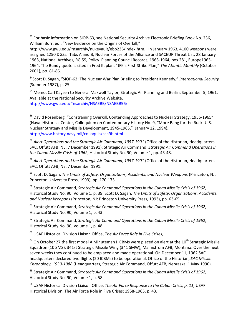<sup>53</sup> For basic information on SIOP-63, see National Security Archive Electronic Briefing Book No. 236, William Burr, ed., "New Evidence on the Origins of Overkill,"

http://www.gwu.edu/~nsarchiv/nukevault/ebb236/index.htm. In January 1963, 4100 weapons were assigned 1250 DGZs. Tabs A and B, Nuclear Forces of the Alliance and SACEUR Threat List, 28 January 1963, National Archives, RG 59, Policy Planning Council Records, 1963-1964, box 281, Europe1963- 1964. The Bundy quote is cited in Fred Kaplan, "JFK's First-Strike Plan," *The Atlantic Monthly* (October 2001), pp. 81-86.

54Scott D. Sagan, "SIOP-62: The Nuclear War Plan Briefing to President Kennedy," *International Security* (Summer 1987), p. 25.

<sup>55</sup> Memo, Carl Kaysen to General Maxwell Taylor, Strategic Air Planning and Berlin, September 5, 1961. Available at the National Security Archive Website. <http://www.gwu.edu/~nsarchiv/NSAEBB/NSAEBB56/>

<sup>56</sup> David Rosenberg, "Constraining Overkill, Contending Approaches to Nuclear Strategy, 1955-1965" (Naval Historical Center, Colloquium on Contemporary History No. 9, "More Bang for the Buck: U.S. Nuclear Strategy and Missile Development, 1945-1965," January 12, 1994), <http://www.history.navy.mil/colloquia/cch9b.html>

<sup>57</sup> *Alert Operations and the Strategic Air Command, 1957-1991* (Office of the Historian, Headquarters SAC, Offutt AFB, NE, 7 December 1991); Strategic Air Command, *Strategic Air Command Operations in the Cuban Missile Crisis of 1962*, Historical Study No. 90, Volume 1, pp. 43-48.

<sup>58</sup> *Alert Operations and the Strategic Air Command, 1957-1991* (Office of the Historian, Headquarters SAC, Offutt AFB, NE, 7 December 1991.

<sup>59</sup> Scott D. Sagan, *The Limits of Safety: Organizations, Accidents, and Nuclear Weapons* (Princeton, NJ: Princeton University Press, 1993), pp. 170-173.

<span id="page-49-0"></span><sup>60</sup> Strategic Air Command, *Strategic Air Command Operations in the Cuban Missile Crisis of 1962*, Historical Study No. 90, Volume 1, p. 39; Scott D. Sagan, *The Limits of Safety: Organizations, Accidents, and Nuclear Weapons* (Princeton, NJ: Princeton University Press, 1993), pp. 63-65.

<span id="page-49-1"></span><sup>61</sup> Strategic Air Command, *Strategic Air Command Operations in the Cuban Missile Crisis of 1962*, Historical Study No. 90, Volume 1, p. 43.

<span id="page-49-2"></span><sup>62</sup> Strategic Air Command, *Strategic Air Command Operations in the Cuban Missile Crisis of 1962*, Historical Study No. 90, Volume 1, p. 48.

<sup>63</sup> USAF Historical Division Liaison Office, *The Air Force Role in Five Crises*,

 $64$  On October 27 the first model A Minuteman I ICBMs were placed on alert at the 10<sup>th</sup> Strategic Missile Squadron (10 SMS), 341st Strategic Missile Wing (341 SMW), Malmstrom AFB, Montana. Over the next seven weeks they continued to be emplaced and made operational. On December 11, 1962 SAC headquarters declared two flights (20 ICBMs) to be operational. Office of the Historian, *SAC Missile Chronology, 1939-1988* (Headquarters, Strategic Air Command, Offutt AFB, Nebraska, 1 May 1990).

<sup>65</sup> Strategic Air Command, *Strategic Air Command Operations in the Cuban Missile Crisis of 1962*, Historical Study No. 90, Volume 1, p. 58.

<sup>66</sup> USAF Historical Division Liaison Office, *The Air Force Response to the Cuban Crisis, p. 11;* USAF Historical Division, The Air Force Role in Five Crises: 1958-1965, p. 43.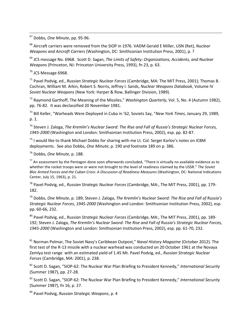67 Dobbs, *One Minute*, pp. 95-96.

<sup>68</sup> Aircraft carriers were removed from the SIOP in 1976. VADM Gerald E Miller, USN (Ret), *Nuclear Weapons and Aircraft Carriers* (Washington, DC: Smithsonian Institution Press, 2001), p. ?

<sup>69</sup> JCS message No. 6968. Scott D. Sagan, *The Limits of Safety: Organizations, Accidents, and Nuclear Weapons* (Princeton, NJ: Princeton University Press, 1993), fn 23, p. 63.

<sup>70</sup> JCS Message 6968.

<sup>71</sup> Pavel Podvig, ed., *Russian Strategic Nuclear Forces* (Cambridge, MA: The MIT Press, 2001); Thomas B. Cochran, William M. Arkin, Robert S. Norris, Jeffrey I. Sands, *Nuclear Weapons Databook*, Volume IV *Soviet Nuclear Weapons* (New York: Harper & Row, Ballinger Division, 1989).

<sup>72</sup> Raymond Garthoff, The Meaning of the Missiles," *Washington Quarterly*, Vol. 5, No. 4 (Autumn 1982), pp. 76-82. It was declassified 20 November 1981.

<sup>73</sup> Bill Keller, "Warheads Were Deployed in Cuba in '62, Soviets Say, "*New York Times*, January 29, 1989, p. 1.

<sup>74</sup> Steven J. Zaloga, *The Kremlin's Nuclear Sword: The Rise and Fall of Russia's Strategic Nuclear Forces, 1945-2000* (Washington and London: Smithsonian Institution Press, 2002), esp. pp. 82-87.

 $75$  I would like to thank Michael Dobbs for sharing with me Lt. Col. Sergei Karlov's notes on ICBM deployments. See also Dobbs, *One Minute*, p. 190 and footnote 189 on p. 386.

<sup>76</sup> Dobbs, *One Minute*, p. 188.

 $77$  An assessment by the Pentagon done soon afterwards concluded, "There is virtually no available evidence as to whether the rocket troops were or were not brought to the level of readiness claimed by the USSR." *The Soviet Bloc Armed Forces and the Cuban Crisis: A Discussion of Readiness Measures* (Washington, DC: National Indications Center, July 15, 1963), p. 21.

<sup>78</sup> Pavel Podvig, ed., *Russian Strategic Nuclear Forces* (Cambridge, MA:, The MIT Press, 2001), pp. 179- 182.

<sup>79</sup> Dobbs, *One Minute*, p. 189; Steven J. Zaloga, *The Kremlin's Nuclear Sword: The Rise and Fall of Russia's Strategic Nuclear Forces, 1945-2000* (Washington and London: Smithsonian Institution Press, 2002), esp. pp. 60-66, 232.

<sup>80</sup> Pavel Podvig, ed., *Russian Strategic Nuclear Forces* (Cambridge, MA:, The MIT Press, 2001), pp. 189- 192; Steven J. Zaloga, *The Kremlin's Nuclear Sword: The Rise and Fall of Russia's Strategic Nuclear Forces, 1945-2000* (Washington and London: Smithsonian Institution Press, 2002), esp. pp. 61-70, 232.

<span id="page-50-1"></span><span id="page-50-0"></span><sup>81</sup> Norman Polmar, The Soviet Navy's Caribbean Outpost," *Naval History Magazine* (October 2012). The first test of the R-13 missile with a nuclear warhead was conducted on 20 October 1961 at the Novaya Zemlya test range with an estimated yield of 1.45 Mt. Pavel Podvig, ed., *Russian Strategic Nuclear Forces* (Cambridge, MA: 2001), p. 238.

<span id="page-50-2"></span><sup>82</sup> Scott D. Sagan, "SIOP-62: The Nuclear War Plan Briefing to President Kennedy," *International Security* (Summer 1987), pp. 27-28.

<span id="page-50-3"></span><sup>83</sup> Scott D. Sagan, "SIOP-62: The Nuclear War Plan Briefing to President Kennedy," *International Security* (Summer 1987), fn 16, p. 27.

<sup>84</sup> Pavel Podvig, *Russian Strategic Weapons*, p. 4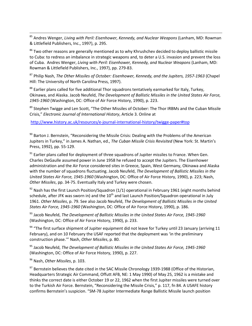<span id="page-51-0"></span> 85 Andres Wenger, *Living with Peril: Eisenhower, Kennedy, and Nuclear Weapons* (Lanham, MD: Rowman & Littlefield Publishers, Inc., 1997), p. 295.

<span id="page-51-1"></span><sup>86</sup> Two other reasons are generally mentioned as to why Khrushchev decided to deploy ballistic missile to Cuba: to redress an imbalance in strategic weapons and, to deter a U.S. invasion and prevent the loss of Cuba. Andres Wenger, *Living with Peril: Eisenhower, Kennedy, and Nuclear Weapons* (Lanham, MD: Rowman & Littlefield Publishers, Inc., 1997), pp. 279-83.

<span id="page-51-2"></span><sup>87</sup> Philip Nash, *The Other Missiles of October: Eisenhower, Kennedy, and the Jupiters, 1957-1963* (Chapel Hill: The University of North Carolina Press, 1997).

<sup>88</sup> Earlier plans called for five additional Thor squadrons tentatively earmarked for Italy, Turkey, Okinawa, and Alaska. Jacob Neufeld, *The Development of Ballistic Missiles in the United States Air Force, 1945-1960* (Washington, DC: Office of Air Force History, 1990), p. 223.

<sup>89</sup> Stephen Twigge and Len Scott, "The Other Missiles of October: The Thor IRBMs and the Cuban Missile Crisis," *Electronic Journal of International History*, Article 3. Online at

<http://www.history.ac.uk/resources/e-journal-international-history/twigge-paper#top>

<sup>90</sup> Barton J. Bernstein, "Reconsidering the Missile Crisis: Dealing with the Problems of the American Jupiters in Turkey," in James A. Nathan, ed., *The Cuban Missile Crisis Revisited* (New York: St. Martin's Press, 1992), pp. 55-129.

 $91$  Earlier plans called for deployment of three squadrons of Jupiter missiles to France. When Gen. Charles DeGaulle assumed power in June 1958 he refused to accept the Jupiters. The Eisenhower administration and the Air Force considered sites in Greece, Spain, West Germany, Okinawa and Alaska with the number of squadrons fluctuating. Jacob Neufeld, *The Development of Ballistic Missiles in the United States Air Force, 1945-1960* (Washington, DC: Office of Air Force History, 1990), p. 223; Nash, *Other Missiles*, pp. 34-75. Eventually Italy and Turkey were chosen.

 $92$  Nash has the first Launch Position/Squadron (1/1) operational in February 1961 (eight months behind schedule, after JFK was sworn in) and the 10<sup>th</sup> and last Launch Position/Squadron operational in July 1961. *Other Missiles*, p. 79. See also Jacob Neufeld, *The Development of Ballistic Missiles in the United States Air Force, 1945-1960* (Washington, DC: Office of Air Force History, 1990), p. 186.

<sup>93</sup> Jacob Neufeld, *The Development of Ballistic Missiles in the United States Air Force, 1945-1960* (Washington, DC: Office of Air Force History, 1990), p. 233.

<sup>94</sup> "The first surface shipment of Jupiter equipment did not leave for Turkey until 23 January (arriving 11 February), and on 10 February the USAF reported that the deployment was 'in the preliminary construction phase.'" Nash, *Other Missiles*, p. 80.

<sup>95</sup> Jacob Neufeld, *The Development of Ballistic Missiles in the United States Air Force, 1945-1960* (Washington, DC: Office of Air Force History, 1990), p. 227.

<sup>96</sup> Nash, *Other Missiles*, p. 103.

97 Bernstein believes the date cited in the SAC Missile Chronology 1939-1988 (Office of the Historian, Headquarters Strategic Air Command, Offutt AFB, NE: 1 May 1990) of May 25, 1962 is a mistake and thinks the correct date is either October 19 or 22, 1962 when the first Jupiter missiles were turned over to the Turkish Air Force. Bernstein, "Reconsidering the Missile Crisis," p. 117, fn 84. A USAFE history confirms Bernstein's suspicion. "SM-78 Jupiter Intermediate Range Ballistic Missile launch position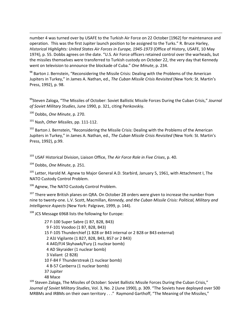number 4 was turned over by USAFE to the Turkish Air Force on 22 October [1962] for maintenance and operation. This was the first Jupiter launch position to be assigned to the Turks." R. Bruce Harley, *Historical Highlights: United States Air Forces in Europe, 1945-1973* (Office of History, USAFE, 10 May 1974), p. 55. Dobbs agrees on the date. "U.S. Air Force officers retained control over the warheads, but the missiles themselves were transferred to Turkish custody on October 22, the very day that Kennedy went on television to announce the blockade of Cuba." *One Minute*, p. 234.

98 Barton J. Bernstein, "Reconsidering the Missile Crisis: Dealing with the Problems of the American Jupiters in Turkey," in James A. Nathan, ed., *The Cuban Missile Crisis Revisited* (New York: St. Martin's Press, 1992), p. 98.

<span id="page-52-0"></span>99Steven Zaloga, "The Missiles of October: Soviet Ballistic Missile Forces During the Cuban Crisis," *Journal of Soviet Military Studies*, June 1990, p. 321, citing Penkovskiy.

<span id="page-52-1"></span><sup>100</sup> Dobbs, *One Minute*, p. 270.

 $\overline{\phantom{a}}$ 

<sup>101</sup> Nash, *Other Missiles*, pp. 111-112.

<span id="page-52-2"></span><sup>102</sup> Barton J. Bernstein, "Reconsidering the Missile Crisis: Dealing with the Problems of the American Jupiters in Turkey," in James A. Nathan, ed., *The Cuban Missile Crisis Revisited* (New York: St. Martin's Press, 1992), p.99.

<sup>103</sup> USAF Historical Division, Liaison Office, *The Air Force Role in Five Crises*, p. 40.

<sup>104</sup> Dobbs, *One Minute*, p. 251.

<sup>105</sup> Letter, Harold M. Agnew to Major General A.D. Starbird, January 5, 1961, with Attachment I, The NATO Custody Control Problem.

<sup>106</sup> Agnew, The NATO Custody Control Problem.

<sup>107</sup> There were British planes on QRA. On October 28 orders were given to increase the number from nine to twenty-one. L.V. Scott, Macmillan, *Kennedy, and the Cuban Missile Crisis: Political, Military and Intelligence Aspects* (New York: Palgrave, 1999, p. 144).

<sup>108</sup> JCS Message 6968 lists the following for Europe:

27 F-100 Super Sabre (1 B7, B28, B43) 9 F-101 Voodoo (1 B7, B28, B43) 15 F-105 Thunderchief (1 B28 or B43 internal or 2 B28 or B43 external) 2 A3J Vigilante (1 B27, B28, B43, B57 or 2 B43) 4 A4D/FJ4 Skyhawk/Fury (1 nuclear bomb) 4 AD Skyraider (1 nuclear bomb) 3 Valiant (2 B28) 10 F-84 F Thunderstreak (1 nuclear bomb) 4 B-57 Canberra (1 nuclear bomb) 37 Jupiter 48 Mace

<sup>109</sup> Steven Zaloga, The Missiles of October: Soviet Ballistic Missile Forces During the Cuban Crisis," *Journal of Soviet Military Studies*, Vol. 3, No. 2 (June 1990), p. 309. "The Soviets have deployed over 500 MRBMs and IRBMs on their own territory . . ." Raymond Garthoff, "The Meaning of the Missiles,"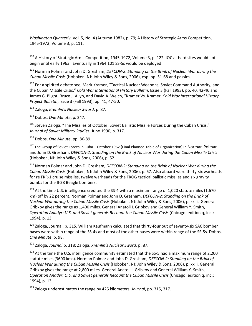*Washington Quarterly*, Vol. 5, No. 4 (Autumn 1982), p. 79; A History of Strategic Arms Competition, 1945-1972, Volume 3, p. 111.

<sup>110</sup> A History of Strategic Arms Competition, 1945-1972, Volume 3, p. 122. IOC at hard sites would not begin until early 1963. Eventually in 1964 101 SS-5s would be deployed

<sup>111</sup> Norman Polmar and John D. Gresham, *DEFCON-2: Standing on the Brink of Nuclear War during the Cuban Missile Crisis* (Hoboken, NJ: John Wiley & Sons, 2006), esp. pp. 51-68 and passim.

<sup>112</sup> For a spirited debate see, Mark Kramer, "Tactical Nuclear Weapons, Soviet Command Authority, and the Cuban Missile Crisis," *Cold War International History Bulletin*, Issue 3 (Fall 1993), pp. 40, 42-46 and James G. Blight, Bruce J. Allyn, and David A. Welch, "Kramer Vs. Kramer, *Cold War International History Project Bulletin*, Issue 3 (Fall 1993), pp. 41, 47-50.

<sup>113</sup> Zaloga, *Kremlin's Nuclear Sword*, p. 87.

<sup>114</sup> Dobbs, *One Minute*, p. 247.

 $\overline{\phantom{a}}$ 

<sup>115</sup> Steven Zaloga, "The Missiles of October: Soviet Ballistic Missile Forces During the Cuban Crisis," *Journal of Soviet Military Studies*, June 1990, p. 317.

<sup>116</sup> Dobbs, *One Minute*, pp. 86-89.

<sup>117</sup> The Group of Soviet Forces in Cuba – October 1962 (Final Planned Table of Organization) in Norman Polmar and John D. Gresham, *DEFCON-2: Standing on the Brink of Nuclear War during the Cuban Missile Crisis* (Hoboken, NJ: John Wiley & Sons, 2006), p. 52.

<span id="page-53-0"></span><sup>118</sup> Norman Polmar and John D. Gresham, *DEFCON-2: Standing on the Brink of Nuclear War during the Cuban Missile Crisis* (Hoboken, NJ: John Wiley & Sons, 2006), p. 67. Also aboard were thirty-six warheads for re FKR-1 cruise missiles, twelve warheads for the FROG tactical ballistic missiles and six gravity bombs for the Il-28 Beagle bombers.

 $119$  At the time U.S. intelligence credited the SS-4 with a maximum range of 1,020 statute miles (1,670 km) off by 22 percent. Norman Polmar and John D. Gresham, *DEFCON-2: Standing on the Brink of Nuclear War during the Cuban Missile Crisis* (Hoboken, NJ: John Wiley & Sons, 2006), p. xxiii. General Gribkov gives the range as 1,400 miles. General Anatoli I. Gribkov and General William Y. Smith, *Operation Anadyr: U.S. and Soviet generals Recount the Cuban Missile Crisis* (Chicago: edition q, inc.: 1994), p. 13.

<sup>120</sup> Zaloga, Journal, p. 315. William Kaufmann calculated that thirty-four out of seventy-six SAC bomber bases were within range of the SS-4s and most of the other bases were within range of the SS-5s. Dobbs, *One Minute*, p. 98.

<sup>121</sup> Zaloga, *Journal* p. 318; Zaloga, *Kremlin's Nuclear Sword,* p. 87.

 $122$  At the time the U.S. intelligence community estimated that the SS-5 had a maximum range of 2,200 statute miles (3600 kms). Norman Polmar and John D. Gresham, *DEFCON-2: Standing on the Brink of Nuclear War during the Cuban Missile Crisis* (Hoboken, NJ: John Wiley & Sons, 2006), p. xxiii. General Gribkov gives the range at 2,800 miles. General Anatoli I. Gribkov and General William Y. Smith, *Operation Anadyr: U.S. and Soviet generals Recount the Cuban Missile Crisis* (Chicago: edition q, inc.: 1994), p. 13.

<sup>123</sup> Zaloga underestimates the range by 425 kilometers, *Journal*, pp. 315, 317.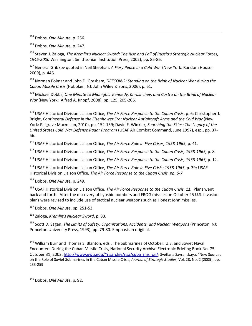124 Dobbs, *One Minute*, p. 256.

<sup>125</sup> Dobbs, *One Minute*, p. 247.

<sup>126</sup> Steven J. Zaloga, *The Kremlin's Nuclear Sword: The Rise and Fall of Russia's Strategic Nuclear Forces, 1945-2000* Washington: Smithsonian Institution Press, 2002), pp. 85-86.

<sup>127</sup> General Gribkov quoted in Neil Sheehan, *A Fiery Peace in a Cold War* (New York: Random House: 2009), p. 446.

<sup>128</sup> Norman Polmar and John D. Gresham, *DEFCON-2: Standing on the Brink of Nuclear War during the Cuban Missile Crisis* (Hoboken, NJ: John Wiley & Sons, 2006), p. 61.

<sup>129</sup> Michael Dobbs, *One Minute to Midnight: Kennedy, Khrushchev, and Castro on the Brink of Nuclear War* (New York: Alfred A. Knopf, 2008), pp. 125, 205-206.

<sup>130</sup> USAF Historical Division Liaison Office, *The Air Force Response to the Cuban Crisis*, p. 6; Christopher J. Bright, *Continental Defense in the Eisenhower Era: Nuclear Antiaircraft Arms and the Cold War* (New York: Palgrave Macmillan, 2010), pp. 152-159; David F. Winkler, *Searching the Skies: The Legacy of the United States Cold War Defense Radar Program* (USAF Air Combat Command, June 1997), esp., pp. 37- 56.

<sup>131</sup> USAF Historical Division Liaison Office, *The Air Force Role in Five Crises, 1958-1965*, p. 41.

<sup>132</sup> USAF Historical Division Liaison Office, *The Air Force Response to the Cuban Crisis, 1958-1965,* p. 8.

<sup>133</sup> USAF Historical Division Liaison Office, *The Air Force Response to the Cuban Crisis, 1958-1965,* p. 12*.*

<sup>134</sup> USAF Historical Division Liaison Office, *The Air Force Role in Five Crisis: 1958-1965*, p. 39; USAF Historical Division Liaison Office, *The Air Force Response to the Cuban Crisis, pp. 6-7*

<sup>135</sup> Dobbs, *One Minute*, p. 249.

<span id="page-54-0"></span><sup>136</sup> USAF Historical Division Liaison Office, *The Air Force Response to the Cuban Crisis, 11.* Plans went back and forth. After the discovery of Ilyushin bombers and FROG missiles on October 25 U.S. invasion plans were revised to include use of tactical nuclear weapons such as Honest John missiles.

<sup>137</sup> Dobbs, *One Minute*, pp. 251-53.

<sup>138</sup> Zaloga, *Kremlin's Nuclear Sword*, p. 83.

<span id="page-54-1"></span><sup>139</sup> Scott D. Sagan, *The Limits of Safety: Organizations, Accidents, and Nuclear Weapons* (Princeton, NJ: Princeton University Press, 1993), pp. 79-80. Emphasis in original.

<sup>140</sup> William Burr and Thomas S. Blanton, eds., The Submarines of October: U.S. and Soviet Naval Encounters During the Cuban Missile Crisis, National Security Archive Electronic Briefing Book No. 75, October 31, 2002, [http://www.gwu.edu/~nsarchiv/nsa/cuba\\_mis\\_cri/;](http://www.gwu.edu/~nsarchiv/nsa/cuba_mis_cri/) Svetlana Savranskaya, "New Sources on the Role of Soviet Submarines in the Cuban Missile Crisis, *Journal of Strategic Studies*, Vol. 28, No. 2 (2005), pp. 233-259

<sup>141</sup> Dobbs, *One Minute*, p. 92.